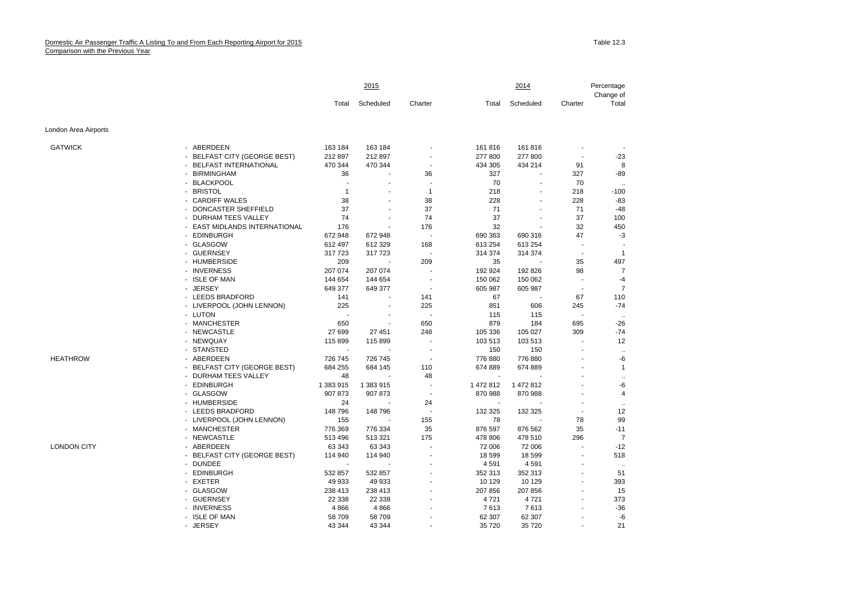## Domestic Air Passenger Traffic A Listing To and From Each Reporting Airport for 2015 Comparison with the Previous Year

|                      |                               | 2015      |           |                          |           | 2014                     |                |                      |
|----------------------|-------------------------------|-----------|-----------|--------------------------|-----------|--------------------------|----------------|----------------------|
|                      |                               | Total     | Scheduled | Charter                  | Total     | Scheduled                | Charter        | Change of<br>Total   |
| London Area Airports |                               |           |           |                          |           |                          |                |                      |
| <b>GATWICK</b>       | - ABERDEEN                    | 163 184   | 163 184   |                          | 161 816   | 161 816                  |                |                      |
|                      | - BELFAST CITY (GEORGE BEST)  | 212 897   | 212 897   | $\overline{\phantom{a}}$ | 277 800   | 277 800                  |                | $-23$                |
|                      | - BELFAST INTERNATIONAL       | 470 344   | 470 344   | $\sim$                   | 434 305   | 434 214                  | 91             | 8                    |
|                      | - BIRMINGHAM                  | 36        |           | 36                       | 327       |                          | 327            | -89                  |
|                      | - BLACKPOOL                   |           |           |                          | 70        | $\overline{a}$           | 70             |                      |
|                      | <b>BRISTOL</b>                | 1         |           | $\mathbf{1}$             | 218       | ÷                        | 218            | $-100$               |
|                      | - CARDIFF WALES               | 38        |           | 38                       | 228       |                          | 228            | $-83$                |
|                      | DONCASTER SHEFFIELD           | 37        |           | 37                       | 71        |                          | 71             | $-48$                |
|                      | - DURHAM TEES VALLEY          | 74        |           | 74                       | 37        |                          | 37             | 100                  |
|                      | - EAST MIDLANDS INTERNATIONAL | 176       |           | 176                      | 32        |                          | 32             | 450                  |
|                      | - EDINBURGH                   | 672 948   | 672 948   |                          | 690 363   | 690 316                  | 47             | -3                   |
|                      | - GLASGOW                     | 612 497   | 612 329   | 168                      | 613 254   | 613 254                  | $\overline{a}$ |                      |
|                      | - GUERNSEY                    | 317723    | 317723    | $\overline{\phantom{a}}$ | 314 374   | 314 374                  | $\overline{a}$ | $\mathbf{1}$         |
|                      | - HUMBERSIDE                  | 209       |           | 209                      | 35        |                          | 35             | 497                  |
|                      | - INVERNESS                   | 207 074   | 207 074   | $\overline{a}$           | 192 924   | 192 826                  | 98             | $\overline{7}$       |
|                      | - ISLE OF MAN                 | 144 654   | 144 654   | $\overline{\phantom{a}}$ | 150 062   | 150 062                  |                | $-4$                 |
|                      | <b>JERSEY</b>                 | 649 377   | 649 377   |                          | 605 987   | 605 987                  |                | $\overline{7}$       |
|                      | - LEEDS BRADFORD              | 141       |           | 141                      | 67        | $\overline{\phantom{a}}$ | 67             | 110                  |
|                      | - LIVERPOOL (JOHN LENNON)     | 225       |           | 225                      | 851       | 606                      | 245            | $-74$                |
|                      | - LUTON                       |           |           |                          | 115       | 115                      | ÷,             | $\ddot{\phantom{a}}$ |
|                      | - MANCHESTER                  | 650       |           | 650                      | 879       | 184                      | 695            | $-26$                |
|                      | - NEWCASTLE                   | 27 699    | 27 451    | 248                      | 105 336   | 105 027                  | 309            | $-74$                |
|                      | - NEWQUAY                     | 115 899   | 115 899   | $\overline{\phantom{a}}$ | 103 513   | 103 513                  | ä,             | 12                   |
|                      | - STANSTED                    |           |           |                          | 150       | 150                      |                | $\cdot$              |
| <b>HEATHROW</b>      | - ABERDEEN                    | 726 745   | 726 745   | $\overline{\phantom{a}}$ | 776 880   | 776 880                  |                | -6                   |
|                      | - BELFAST CITY (GEORGE BEST)  | 684 255   | 684 145   | 110                      | 674 889   | 674 889                  |                | $\mathbf{1}$         |
|                      | - DURHAM TEES VALLEY          | 48        |           | 48                       |           |                          |                | $\ddotsc$            |
|                      | - EDINBURGH                   | 1 383 915 | 1 383 915 | $\overline{\phantom{a}}$ | 1 472 812 | 1 472 812                |                | -6                   |
|                      | - GLASGOW                     | 907 873   | 907 873   | $\overline{\phantom{a}}$ | 870 988   | 870 988                  |                | $\overline{4}$       |
|                      | - HUMBERSIDE                  | 24        |           | 24                       |           |                          |                | $\ddotsc$            |
|                      | - LEEDS BRADFORD              | 148 796   | 148 796   | ÷,                       | 132 325   | 132 325                  | ÷,             | 12                   |
|                      | - LIVERPOOL (JOHN LENNON)     | 155       |           | 155                      | 78        |                          | 78             | 99                   |
|                      | - MANCHESTER                  | 776 369   | 776 334   | 35                       | 876 597   | 876 562                  | 35             | $-11$                |
|                      | - NEWCASTLE                   | 513 496   | 513 321   | 175                      | 478 806   | 478 510                  | 296            | $\overline{7}$       |
| <b>LONDON CITY</b>   | - ABERDEEN                    | 63 343    | 63 343    |                          | 72 006    | 72 006                   |                | $-12$                |
|                      | - BELFAST CITY (GEORGE BEST)  | 114 940   | 114 940   | ÷,                       | 18 599    | 18 599                   | ä,             | 518                  |
|                      | - DUNDEE                      |           |           | $\overline{a}$           | 4 5 9 1   | 4591                     |                | $\cdot$              |
|                      | - EDINBURGH                   | 532 857   | 532 857   | $\overline{a}$           | 352 313   | 352 313                  | $\overline{a}$ | 51                   |
|                      | - EXETER                      | 49 933    | 49 933    |                          | 10 129    | 10 129                   |                | 393                  |
|                      | - GLASGOW                     | 238 413   | 238 413   | $\overline{\phantom{a}}$ | 207 856   | 207 856                  | $\overline{a}$ | 15                   |
|                      | - GUERNSEY                    | 22 3 38   | 22 3 38   |                          | 4721      | 4721                     |                | 373                  |
|                      | - INVERNESS                   | 4 8 6 6   | 4866      |                          | 7613      | 7613                     |                | $-36$                |
|                      | - ISLE OF MAN                 | 58 709    | 58 709    |                          | 62 307    | 62 307                   |                | -6                   |
|                      | - JERSEY                      | 43 344    | 43 344    |                          | 35 720    | 35 720                   |                | 21                   |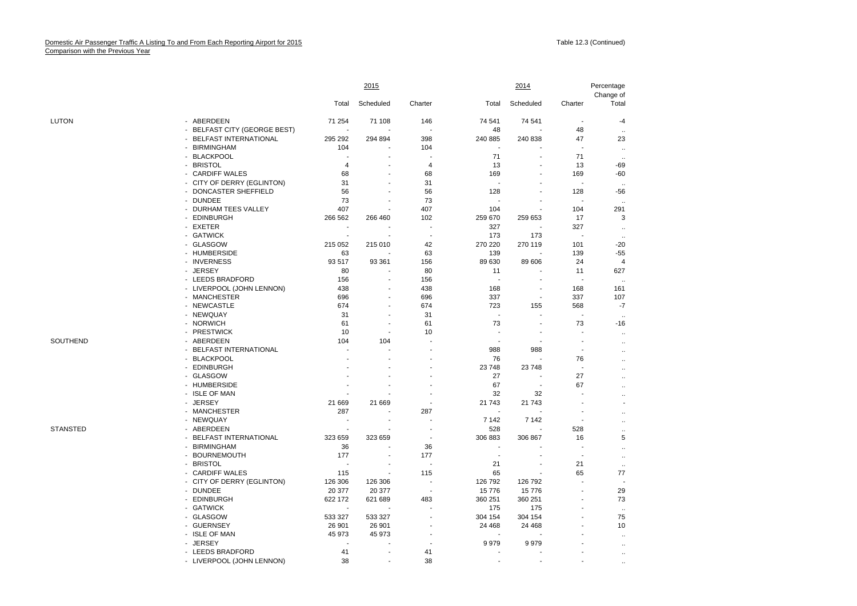| Total<br>Scheduled<br>Charter<br>Scheduled<br>Charter<br>Total<br>- ABERDEEN<br><b>LUTON</b><br>71 254<br>71 108<br>146<br>74 541<br>74 541<br>$\overline{a}$<br>- BELFAST CITY (GEORGE BEST)<br>48<br>48<br>- BELFAST INTERNATIONAL<br>295 292<br>294 894<br>398<br>240 885<br>240 838<br>47<br>104<br>104<br><b>BIRMINGHAM</b><br>$\blacksquare$<br>÷<br>- BLACKPOOL<br>71<br>71<br>÷<br>×.<br>- BRISTOL<br>$\overline{4}$<br>13<br>13<br>4<br>- CARDIFF WALES<br>68<br>68<br>169<br>169<br>31<br>- CITY OF DERRY (EGLINTON)<br>31<br>÷<br>J.<br>DONCASTER SHEFFIELD<br>56<br>56<br>128<br>128<br>$\bullet$<br>- DUNDEE<br>73<br>73<br>$\overline{a}$<br>- DURHAM TEES VALLEY<br>407<br>407<br>104<br>104<br>- EDINBURGH<br>266 562<br>266 460<br>102<br>259 670<br>259 653<br>17<br>- EXETER<br>327<br>327<br>$\overline{\phantom{a}}$<br>- GATWICK<br>173<br>173<br>÷.<br>$\sim$<br>÷.<br>- GLASGOW<br>215 052<br>215 010<br>42<br>270 220<br>270 119<br>101<br>- HUMBERSIDE<br>63<br>63<br>139<br>139<br>- INVERNESS<br>93 517<br>93 361<br>89 630<br>89 606<br>156<br>24<br>- JERSEY<br>80<br>80<br>11<br>11<br>- LEEDS BRADFORD<br>156<br>156<br>ä,<br>÷<br>J.<br>÷.<br>- LIVERPOOL (JOHN LENNON)<br>438<br>438<br>168<br>168<br>ä,<br>$\blacksquare$<br>696<br>337<br>337<br>- MANCHESTER<br>696<br>$\overline{\phantom{a}}$<br>÷<br>- NEWCASTLE<br>674<br>674<br>723<br>155<br>568<br>- NEWQUAY<br>31<br>31<br>÷.<br>÷<br>×.<br>- NORWICH<br>73<br>73<br>61<br>61<br>$\blacksquare$<br><b>PRESTWICK</b><br>10<br>10<br>$\blacksquare$<br>Ĭ.<br>$\ddotsc$<br>SOUTHEND<br>- ABERDEEN<br>104<br>104<br>$\ddot{\phantom{1}}$<br>- BELFAST INTERNATIONAL<br>988<br>988<br>J.<br>ä,<br>$\ddotsc$<br><b>BLACKPOOL</b><br>76<br>76<br>$\overline{\phantom{a}}$<br>$\ddotsc$<br>- EDINBURGH<br>23 748<br>23748<br>$\overline{a}$<br>$\ddotsc$<br>- GLASGOW<br>27<br>27<br>$\ddotsc$<br>- HUMBERSIDE<br>67<br>67<br>$\overline{a}$<br>$\ddot{\phantom{a}}$<br>- ISLE OF MAN<br>32<br>32<br>$\ddot{\phantom{0}}$<br>- JERSEY<br>21 669<br>21 669<br>21 743<br>21 743<br>- MANCHESTER<br>287<br>287<br>$\ddot{\phantom{a}}$<br>- NEWQUAY<br>7 1 4 2<br>7 1 4 2<br>$\blacksquare$<br>$\overline{a}$<br>$\ddotsc$<br><b>STANSTED</b><br>ABERDEEN<br>528<br>528<br>$\ddotsc$<br>- BELFAST INTERNATIONAL<br>306 883<br>323 659<br>323 659<br>306 867<br>16<br>$\overline{\phantom{a}}$<br>36<br><b>BIRMINGHAM</b><br>36<br>$\blacksquare$<br>ä,<br>$\ldots$<br><b>BOURNEMOUTH</b><br>177<br>177<br>$\blacksquare$<br>$\overline{\phantom{a}}$<br>٠<br>$\ddotsc$<br>- BRISTOL<br>21<br>21<br>$\ddotsc$<br>- CARDIFF WALES<br>115<br>115<br>65<br>65<br>77<br>- CITY OF DERRY (EGLINTON)<br>126 306<br>126 306<br>126 792<br>126 792<br>$\blacksquare$<br>29<br>- DUNDEE<br>20 377<br>20 377<br>15776<br>15 776<br>$\overline{\phantom{a}}$<br>÷<br>- EDINBURGH<br>622 172<br>621 689<br>483<br>360 251<br>360 251<br>73<br>- GATWICK<br>175<br>175<br>$\sim$<br>- GLASGOW<br>533 327<br>533 327<br>304 154<br>75<br>304 154 |            | 2015   |        |  |         | 2014    | Percentage<br>Change of |                       |
|---------------------------------------------------------------------------------------------------------------------------------------------------------------------------------------------------------------------------------------------------------------------------------------------------------------------------------------------------------------------------------------------------------------------------------------------------------------------------------------------------------------------------------------------------------------------------------------------------------------------------------------------------------------------------------------------------------------------------------------------------------------------------------------------------------------------------------------------------------------------------------------------------------------------------------------------------------------------------------------------------------------------------------------------------------------------------------------------------------------------------------------------------------------------------------------------------------------------------------------------------------------------------------------------------------------------------------------------------------------------------------------------------------------------------------------------------------------------------------------------------------------------------------------------------------------------------------------------------------------------------------------------------------------------------------------------------------------------------------------------------------------------------------------------------------------------------------------------------------------------------------------------------------------------------------------------------------------------------------------------------------------------------------------------------------------------------------------------------------------------------------------------------------------------------------------------------------------------------------------------------------------------------------------------------------------------------------------------------------------------------------------------------------------------------------------------------------------------------------------------------------------------------------------------------------------------------------------------------------------------------------------------------------------------------------------------------------------------------------------------------------------------------------------------------------------------------------------------------------------------------------------------------------------------------------------------------------------------------------------------------------------------|------------|--------|--------|--|---------|---------|-------------------------|-----------------------|
|                                                                                                                                                                                                                                                                                                                                                                                                                                                                                                                                                                                                                                                                                                                                                                                                                                                                                                                                                                                                                                                                                                                                                                                                                                                                                                                                                                                                                                                                                                                                                                                                                                                                                                                                                                                                                                                                                                                                                                                                                                                                                                                                                                                                                                                                                                                                                                                                                                                                                                                                                                                                                                                                                                                                                                                                                                                                                                                                                                                                                     |            |        |        |  |         |         |                         | Total                 |
|                                                                                                                                                                                                                                                                                                                                                                                                                                                                                                                                                                                                                                                                                                                                                                                                                                                                                                                                                                                                                                                                                                                                                                                                                                                                                                                                                                                                                                                                                                                                                                                                                                                                                                                                                                                                                                                                                                                                                                                                                                                                                                                                                                                                                                                                                                                                                                                                                                                                                                                                                                                                                                                                                                                                                                                                                                                                                                                                                                                                                     |            |        |        |  |         |         |                         | $-4$                  |
|                                                                                                                                                                                                                                                                                                                                                                                                                                                                                                                                                                                                                                                                                                                                                                                                                                                                                                                                                                                                                                                                                                                                                                                                                                                                                                                                                                                                                                                                                                                                                                                                                                                                                                                                                                                                                                                                                                                                                                                                                                                                                                                                                                                                                                                                                                                                                                                                                                                                                                                                                                                                                                                                                                                                                                                                                                                                                                                                                                                                                     |            |        |        |  |         |         |                         | $\ddotsc$             |
|                                                                                                                                                                                                                                                                                                                                                                                                                                                                                                                                                                                                                                                                                                                                                                                                                                                                                                                                                                                                                                                                                                                                                                                                                                                                                                                                                                                                                                                                                                                                                                                                                                                                                                                                                                                                                                                                                                                                                                                                                                                                                                                                                                                                                                                                                                                                                                                                                                                                                                                                                                                                                                                                                                                                                                                                                                                                                                                                                                                                                     |            |        |        |  |         |         |                         | 23                    |
|                                                                                                                                                                                                                                                                                                                                                                                                                                                                                                                                                                                                                                                                                                                                                                                                                                                                                                                                                                                                                                                                                                                                                                                                                                                                                                                                                                                                                                                                                                                                                                                                                                                                                                                                                                                                                                                                                                                                                                                                                                                                                                                                                                                                                                                                                                                                                                                                                                                                                                                                                                                                                                                                                                                                                                                                                                                                                                                                                                                                                     |            |        |        |  |         |         |                         | $\ddotsc$             |
|                                                                                                                                                                                                                                                                                                                                                                                                                                                                                                                                                                                                                                                                                                                                                                                                                                                                                                                                                                                                                                                                                                                                                                                                                                                                                                                                                                                                                                                                                                                                                                                                                                                                                                                                                                                                                                                                                                                                                                                                                                                                                                                                                                                                                                                                                                                                                                                                                                                                                                                                                                                                                                                                                                                                                                                                                                                                                                                                                                                                                     |            |        |        |  |         |         |                         | $\ddotsc$             |
|                                                                                                                                                                                                                                                                                                                                                                                                                                                                                                                                                                                                                                                                                                                                                                                                                                                                                                                                                                                                                                                                                                                                                                                                                                                                                                                                                                                                                                                                                                                                                                                                                                                                                                                                                                                                                                                                                                                                                                                                                                                                                                                                                                                                                                                                                                                                                                                                                                                                                                                                                                                                                                                                                                                                                                                                                                                                                                                                                                                                                     |            |        |        |  |         |         |                         | -69                   |
|                                                                                                                                                                                                                                                                                                                                                                                                                                                                                                                                                                                                                                                                                                                                                                                                                                                                                                                                                                                                                                                                                                                                                                                                                                                                                                                                                                                                                                                                                                                                                                                                                                                                                                                                                                                                                                                                                                                                                                                                                                                                                                                                                                                                                                                                                                                                                                                                                                                                                                                                                                                                                                                                                                                                                                                                                                                                                                                                                                                                                     |            |        |        |  |         |         |                         | $-60$                 |
|                                                                                                                                                                                                                                                                                                                                                                                                                                                                                                                                                                                                                                                                                                                                                                                                                                                                                                                                                                                                                                                                                                                                                                                                                                                                                                                                                                                                                                                                                                                                                                                                                                                                                                                                                                                                                                                                                                                                                                                                                                                                                                                                                                                                                                                                                                                                                                                                                                                                                                                                                                                                                                                                                                                                                                                                                                                                                                                                                                                                                     |            |        |        |  |         |         |                         | $\ddot{\phantom{a}}$  |
|                                                                                                                                                                                                                                                                                                                                                                                                                                                                                                                                                                                                                                                                                                                                                                                                                                                                                                                                                                                                                                                                                                                                                                                                                                                                                                                                                                                                                                                                                                                                                                                                                                                                                                                                                                                                                                                                                                                                                                                                                                                                                                                                                                                                                                                                                                                                                                                                                                                                                                                                                                                                                                                                                                                                                                                                                                                                                                                                                                                                                     |            |        |        |  |         |         |                         | $-56$                 |
|                                                                                                                                                                                                                                                                                                                                                                                                                                                                                                                                                                                                                                                                                                                                                                                                                                                                                                                                                                                                                                                                                                                                                                                                                                                                                                                                                                                                                                                                                                                                                                                                                                                                                                                                                                                                                                                                                                                                                                                                                                                                                                                                                                                                                                                                                                                                                                                                                                                                                                                                                                                                                                                                                                                                                                                                                                                                                                                                                                                                                     |            |        |        |  |         |         |                         | $\ddotsc$             |
|                                                                                                                                                                                                                                                                                                                                                                                                                                                                                                                                                                                                                                                                                                                                                                                                                                                                                                                                                                                                                                                                                                                                                                                                                                                                                                                                                                                                                                                                                                                                                                                                                                                                                                                                                                                                                                                                                                                                                                                                                                                                                                                                                                                                                                                                                                                                                                                                                                                                                                                                                                                                                                                                                                                                                                                                                                                                                                                                                                                                                     |            |        |        |  |         |         |                         | 291                   |
|                                                                                                                                                                                                                                                                                                                                                                                                                                                                                                                                                                                                                                                                                                                                                                                                                                                                                                                                                                                                                                                                                                                                                                                                                                                                                                                                                                                                                                                                                                                                                                                                                                                                                                                                                                                                                                                                                                                                                                                                                                                                                                                                                                                                                                                                                                                                                                                                                                                                                                                                                                                                                                                                                                                                                                                                                                                                                                                                                                                                                     |            |        |        |  |         |         |                         | 3                     |
|                                                                                                                                                                                                                                                                                                                                                                                                                                                                                                                                                                                                                                                                                                                                                                                                                                                                                                                                                                                                                                                                                                                                                                                                                                                                                                                                                                                                                                                                                                                                                                                                                                                                                                                                                                                                                                                                                                                                                                                                                                                                                                                                                                                                                                                                                                                                                                                                                                                                                                                                                                                                                                                                                                                                                                                                                                                                                                                                                                                                                     |            |        |        |  |         |         |                         | $\ddotsc$             |
|                                                                                                                                                                                                                                                                                                                                                                                                                                                                                                                                                                                                                                                                                                                                                                                                                                                                                                                                                                                                                                                                                                                                                                                                                                                                                                                                                                                                                                                                                                                                                                                                                                                                                                                                                                                                                                                                                                                                                                                                                                                                                                                                                                                                                                                                                                                                                                                                                                                                                                                                                                                                                                                                                                                                                                                                                                                                                                                                                                                                                     |            |        |        |  |         |         |                         | $\ddotsc$             |
|                                                                                                                                                                                                                                                                                                                                                                                                                                                                                                                                                                                                                                                                                                                                                                                                                                                                                                                                                                                                                                                                                                                                                                                                                                                                                                                                                                                                                                                                                                                                                                                                                                                                                                                                                                                                                                                                                                                                                                                                                                                                                                                                                                                                                                                                                                                                                                                                                                                                                                                                                                                                                                                                                                                                                                                                                                                                                                                                                                                                                     |            |        |        |  |         |         |                         | $-20$                 |
|                                                                                                                                                                                                                                                                                                                                                                                                                                                                                                                                                                                                                                                                                                                                                                                                                                                                                                                                                                                                                                                                                                                                                                                                                                                                                                                                                                                                                                                                                                                                                                                                                                                                                                                                                                                                                                                                                                                                                                                                                                                                                                                                                                                                                                                                                                                                                                                                                                                                                                                                                                                                                                                                                                                                                                                                                                                                                                                                                                                                                     |            |        |        |  |         |         |                         | $-55$                 |
|                                                                                                                                                                                                                                                                                                                                                                                                                                                                                                                                                                                                                                                                                                                                                                                                                                                                                                                                                                                                                                                                                                                                                                                                                                                                                                                                                                                                                                                                                                                                                                                                                                                                                                                                                                                                                                                                                                                                                                                                                                                                                                                                                                                                                                                                                                                                                                                                                                                                                                                                                                                                                                                                                                                                                                                                                                                                                                                                                                                                                     |            |        |        |  |         |         |                         | $\overline{4}$        |
|                                                                                                                                                                                                                                                                                                                                                                                                                                                                                                                                                                                                                                                                                                                                                                                                                                                                                                                                                                                                                                                                                                                                                                                                                                                                                                                                                                                                                                                                                                                                                                                                                                                                                                                                                                                                                                                                                                                                                                                                                                                                                                                                                                                                                                                                                                                                                                                                                                                                                                                                                                                                                                                                                                                                                                                                                                                                                                                                                                                                                     |            |        |        |  |         |         |                         | 627                   |
|                                                                                                                                                                                                                                                                                                                                                                                                                                                                                                                                                                                                                                                                                                                                                                                                                                                                                                                                                                                                                                                                                                                                                                                                                                                                                                                                                                                                                                                                                                                                                                                                                                                                                                                                                                                                                                                                                                                                                                                                                                                                                                                                                                                                                                                                                                                                                                                                                                                                                                                                                                                                                                                                                                                                                                                                                                                                                                                                                                                                                     |            |        |        |  |         |         |                         | $\ddotsc$             |
|                                                                                                                                                                                                                                                                                                                                                                                                                                                                                                                                                                                                                                                                                                                                                                                                                                                                                                                                                                                                                                                                                                                                                                                                                                                                                                                                                                                                                                                                                                                                                                                                                                                                                                                                                                                                                                                                                                                                                                                                                                                                                                                                                                                                                                                                                                                                                                                                                                                                                                                                                                                                                                                                                                                                                                                                                                                                                                                                                                                                                     |            |        |        |  |         |         |                         | 161                   |
|                                                                                                                                                                                                                                                                                                                                                                                                                                                                                                                                                                                                                                                                                                                                                                                                                                                                                                                                                                                                                                                                                                                                                                                                                                                                                                                                                                                                                                                                                                                                                                                                                                                                                                                                                                                                                                                                                                                                                                                                                                                                                                                                                                                                                                                                                                                                                                                                                                                                                                                                                                                                                                                                                                                                                                                                                                                                                                                                                                                                                     |            |        |        |  |         |         |                         | 107                   |
|                                                                                                                                                                                                                                                                                                                                                                                                                                                                                                                                                                                                                                                                                                                                                                                                                                                                                                                                                                                                                                                                                                                                                                                                                                                                                                                                                                                                                                                                                                                                                                                                                                                                                                                                                                                                                                                                                                                                                                                                                                                                                                                                                                                                                                                                                                                                                                                                                                                                                                                                                                                                                                                                                                                                                                                                                                                                                                                                                                                                                     |            |        |        |  |         |         |                         | $-7$                  |
|                                                                                                                                                                                                                                                                                                                                                                                                                                                                                                                                                                                                                                                                                                                                                                                                                                                                                                                                                                                                                                                                                                                                                                                                                                                                                                                                                                                                                                                                                                                                                                                                                                                                                                                                                                                                                                                                                                                                                                                                                                                                                                                                                                                                                                                                                                                                                                                                                                                                                                                                                                                                                                                                                                                                                                                                                                                                                                                                                                                                                     |            |        |        |  |         |         |                         | $\ddot{\phantom{a}}$  |
|                                                                                                                                                                                                                                                                                                                                                                                                                                                                                                                                                                                                                                                                                                                                                                                                                                                                                                                                                                                                                                                                                                                                                                                                                                                                                                                                                                                                                                                                                                                                                                                                                                                                                                                                                                                                                                                                                                                                                                                                                                                                                                                                                                                                                                                                                                                                                                                                                                                                                                                                                                                                                                                                                                                                                                                                                                                                                                                                                                                                                     |            |        |        |  |         |         |                         | $-16$                 |
|                                                                                                                                                                                                                                                                                                                                                                                                                                                                                                                                                                                                                                                                                                                                                                                                                                                                                                                                                                                                                                                                                                                                                                                                                                                                                                                                                                                                                                                                                                                                                                                                                                                                                                                                                                                                                                                                                                                                                                                                                                                                                                                                                                                                                                                                                                                                                                                                                                                                                                                                                                                                                                                                                                                                                                                                                                                                                                                                                                                                                     |            |        |        |  |         |         |                         |                       |
|                                                                                                                                                                                                                                                                                                                                                                                                                                                                                                                                                                                                                                                                                                                                                                                                                                                                                                                                                                                                                                                                                                                                                                                                                                                                                                                                                                                                                                                                                                                                                                                                                                                                                                                                                                                                                                                                                                                                                                                                                                                                                                                                                                                                                                                                                                                                                                                                                                                                                                                                                                                                                                                                                                                                                                                                                                                                                                                                                                                                                     |            |        |        |  |         |         |                         |                       |
|                                                                                                                                                                                                                                                                                                                                                                                                                                                                                                                                                                                                                                                                                                                                                                                                                                                                                                                                                                                                                                                                                                                                                                                                                                                                                                                                                                                                                                                                                                                                                                                                                                                                                                                                                                                                                                                                                                                                                                                                                                                                                                                                                                                                                                                                                                                                                                                                                                                                                                                                                                                                                                                                                                                                                                                                                                                                                                                                                                                                                     |            |        |        |  |         |         |                         |                       |
|                                                                                                                                                                                                                                                                                                                                                                                                                                                                                                                                                                                                                                                                                                                                                                                                                                                                                                                                                                                                                                                                                                                                                                                                                                                                                                                                                                                                                                                                                                                                                                                                                                                                                                                                                                                                                                                                                                                                                                                                                                                                                                                                                                                                                                                                                                                                                                                                                                                                                                                                                                                                                                                                                                                                                                                                                                                                                                                                                                                                                     |            |        |        |  |         |         |                         |                       |
|                                                                                                                                                                                                                                                                                                                                                                                                                                                                                                                                                                                                                                                                                                                                                                                                                                                                                                                                                                                                                                                                                                                                                                                                                                                                                                                                                                                                                                                                                                                                                                                                                                                                                                                                                                                                                                                                                                                                                                                                                                                                                                                                                                                                                                                                                                                                                                                                                                                                                                                                                                                                                                                                                                                                                                                                                                                                                                                                                                                                                     |            |        |        |  |         |         |                         |                       |
|                                                                                                                                                                                                                                                                                                                                                                                                                                                                                                                                                                                                                                                                                                                                                                                                                                                                                                                                                                                                                                                                                                                                                                                                                                                                                                                                                                                                                                                                                                                                                                                                                                                                                                                                                                                                                                                                                                                                                                                                                                                                                                                                                                                                                                                                                                                                                                                                                                                                                                                                                                                                                                                                                                                                                                                                                                                                                                                                                                                                                     |            |        |        |  |         |         |                         |                       |
|                                                                                                                                                                                                                                                                                                                                                                                                                                                                                                                                                                                                                                                                                                                                                                                                                                                                                                                                                                                                                                                                                                                                                                                                                                                                                                                                                                                                                                                                                                                                                                                                                                                                                                                                                                                                                                                                                                                                                                                                                                                                                                                                                                                                                                                                                                                                                                                                                                                                                                                                                                                                                                                                                                                                                                                                                                                                                                                                                                                                                     |            |        |        |  |         |         |                         |                       |
|                                                                                                                                                                                                                                                                                                                                                                                                                                                                                                                                                                                                                                                                                                                                                                                                                                                                                                                                                                                                                                                                                                                                                                                                                                                                                                                                                                                                                                                                                                                                                                                                                                                                                                                                                                                                                                                                                                                                                                                                                                                                                                                                                                                                                                                                                                                                                                                                                                                                                                                                                                                                                                                                                                                                                                                                                                                                                                                                                                                                                     |            |        |        |  |         |         |                         |                       |
|                                                                                                                                                                                                                                                                                                                                                                                                                                                                                                                                                                                                                                                                                                                                                                                                                                                                                                                                                                                                                                                                                                                                                                                                                                                                                                                                                                                                                                                                                                                                                                                                                                                                                                                                                                                                                                                                                                                                                                                                                                                                                                                                                                                                                                                                                                                                                                                                                                                                                                                                                                                                                                                                                                                                                                                                                                                                                                                                                                                                                     |            |        |        |  |         |         |                         | $\overline{a}$        |
|                                                                                                                                                                                                                                                                                                                                                                                                                                                                                                                                                                                                                                                                                                                                                                                                                                                                                                                                                                                                                                                                                                                                                                                                                                                                                                                                                                                                                                                                                                                                                                                                                                                                                                                                                                                                                                                                                                                                                                                                                                                                                                                                                                                                                                                                                                                                                                                                                                                                                                                                                                                                                                                                                                                                                                                                                                                                                                                                                                                                                     |            |        |        |  |         |         |                         |                       |
|                                                                                                                                                                                                                                                                                                                                                                                                                                                                                                                                                                                                                                                                                                                                                                                                                                                                                                                                                                                                                                                                                                                                                                                                                                                                                                                                                                                                                                                                                                                                                                                                                                                                                                                                                                                                                                                                                                                                                                                                                                                                                                                                                                                                                                                                                                                                                                                                                                                                                                                                                                                                                                                                                                                                                                                                                                                                                                                                                                                                                     |            |        |        |  |         |         |                         |                       |
|                                                                                                                                                                                                                                                                                                                                                                                                                                                                                                                                                                                                                                                                                                                                                                                                                                                                                                                                                                                                                                                                                                                                                                                                                                                                                                                                                                                                                                                                                                                                                                                                                                                                                                                                                                                                                                                                                                                                                                                                                                                                                                                                                                                                                                                                                                                                                                                                                                                                                                                                                                                                                                                                                                                                                                                                                                                                                                                                                                                                                     |            |        |        |  |         |         |                         |                       |
|                                                                                                                                                                                                                                                                                                                                                                                                                                                                                                                                                                                                                                                                                                                                                                                                                                                                                                                                                                                                                                                                                                                                                                                                                                                                                                                                                                                                                                                                                                                                                                                                                                                                                                                                                                                                                                                                                                                                                                                                                                                                                                                                                                                                                                                                                                                                                                                                                                                                                                                                                                                                                                                                                                                                                                                                                                                                                                                                                                                                                     |            |        |        |  |         |         |                         | 5                     |
|                                                                                                                                                                                                                                                                                                                                                                                                                                                                                                                                                                                                                                                                                                                                                                                                                                                                                                                                                                                                                                                                                                                                                                                                                                                                                                                                                                                                                                                                                                                                                                                                                                                                                                                                                                                                                                                                                                                                                                                                                                                                                                                                                                                                                                                                                                                                                                                                                                                                                                                                                                                                                                                                                                                                                                                                                                                                                                                                                                                                                     |            |        |        |  |         |         |                         |                       |
|                                                                                                                                                                                                                                                                                                                                                                                                                                                                                                                                                                                                                                                                                                                                                                                                                                                                                                                                                                                                                                                                                                                                                                                                                                                                                                                                                                                                                                                                                                                                                                                                                                                                                                                                                                                                                                                                                                                                                                                                                                                                                                                                                                                                                                                                                                                                                                                                                                                                                                                                                                                                                                                                                                                                                                                                                                                                                                                                                                                                                     |            |        |        |  |         |         |                         |                       |
|                                                                                                                                                                                                                                                                                                                                                                                                                                                                                                                                                                                                                                                                                                                                                                                                                                                                                                                                                                                                                                                                                                                                                                                                                                                                                                                                                                                                                                                                                                                                                                                                                                                                                                                                                                                                                                                                                                                                                                                                                                                                                                                                                                                                                                                                                                                                                                                                                                                                                                                                                                                                                                                                                                                                                                                                                                                                                                                                                                                                                     |            |        |        |  |         |         |                         |                       |
|                                                                                                                                                                                                                                                                                                                                                                                                                                                                                                                                                                                                                                                                                                                                                                                                                                                                                                                                                                                                                                                                                                                                                                                                                                                                                                                                                                                                                                                                                                                                                                                                                                                                                                                                                                                                                                                                                                                                                                                                                                                                                                                                                                                                                                                                                                                                                                                                                                                                                                                                                                                                                                                                                                                                                                                                                                                                                                                                                                                                                     |            |        |        |  |         |         |                         |                       |
|                                                                                                                                                                                                                                                                                                                                                                                                                                                                                                                                                                                                                                                                                                                                                                                                                                                                                                                                                                                                                                                                                                                                                                                                                                                                                                                                                                                                                                                                                                                                                                                                                                                                                                                                                                                                                                                                                                                                                                                                                                                                                                                                                                                                                                                                                                                                                                                                                                                                                                                                                                                                                                                                                                                                                                                                                                                                                                                                                                                                                     |            |        |        |  |         |         |                         | ٠.                    |
|                                                                                                                                                                                                                                                                                                                                                                                                                                                                                                                                                                                                                                                                                                                                                                                                                                                                                                                                                                                                                                                                                                                                                                                                                                                                                                                                                                                                                                                                                                                                                                                                                                                                                                                                                                                                                                                                                                                                                                                                                                                                                                                                                                                                                                                                                                                                                                                                                                                                                                                                                                                                                                                                                                                                                                                                                                                                                                                                                                                                                     |            |        |        |  |         |         |                         |                       |
|                                                                                                                                                                                                                                                                                                                                                                                                                                                                                                                                                                                                                                                                                                                                                                                                                                                                                                                                                                                                                                                                                                                                                                                                                                                                                                                                                                                                                                                                                                                                                                                                                                                                                                                                                                                                                                                                                                                                                                                                                                                                                                                                                                                                                                                                                                                                                                                                                                                                                                                                                                                                                                                                                                                                                                                                                                                                                                                                                                                                                     |            |        |        |  |         |         |                         |                       |
|                                                                                                                                                                                                                                                                                                                                                                                                                                                                                                                                                                                                                                                                                                                                                                                                                                                                                                                                                                                                                                                                                                                                                                                                                                                                                                                                                                                                                                                                                                                                                                                                                                                                                                                                                                                                                                                                                                                                                                                                                                                                                                                                                                                                                                                                                                                                                                                                                                                                                                                                                                                                                                                                                                                                                                                                                                                                                                                                                                                                                     |            |        |        |  |         |         |                         |                       |
|                                                                                                                                                                                                                                                                                                                                                                                                                                                                                                                                                                                                                                                                                                                                                                                                                                                                                                                                                                                                                                                                                                                                                                                                                                                                                                                                                                                                                                                                                                                                                                                                                                                                                                                                                                                                                                                                                                                                                                                                                                                                                                                                                                                                                                                                                                                                                                                                                                                                                                                                                                                                                                                                                                                                                                                                                                                                                                                                                                                                                     |            |        |        |  |         |         |                         |                       |
|                                                                                                                                                                                                                                                                                                                                                                                                                                                                                                                                                                                                                                                                                                                                                                                                                                                                                                                                                                                                                                                                                                                                                                                                                                                                                                                                                                                                                                                                                                                                                                                                                                                                                                                                                                                                                                                                                                                                                                                                                                                                                                                                                                                                                                                                                                                                                                                                                                                                                                                                                                                                                                                                                                                                                                                                                                                                                                                                                                                                                     | - GUERNSEY | 26 901 | 26 901 |  | 24 4 68 | 24 4 68 |                         | 10                    |
| - ISLE OF MAN<br>45 973<br>45 973                                                                                                                                                                                                                                                                                                                                                                                                                                                                                                                                                                                                                                                                                                                                                                                                                                                                                                                                                                                                                                                                                                                                                                                                                                                                                                                                                                                                                                                                                                                                                                                                                                                                                                                                                                                                                                                                                                                                                                                                                                                                                                                                                                                                                                                                                                                                                                                                                                                                                                                                                                                                                                                                                                                                                                                                                                                                                                                                                                                   |            |        |        |  |         |         |                         |                       |
| - JERSEY<br>9979<br>9979                                                                                                                                                                                                                                                                                                                                                                                                                                                                                                                                                                                                                                                                                                                                                                                                                                                                                                                                                                                                                                                                                                                                                                                                                                                                                                                                                                                                                                                                                                                                                                                                                                                                                                                                                                                                                                                                                                                                                                                                                                                                                                                                                                                                                                                                                                                                                                                                                                                                                                                                                                                                                                                                                                                                                                                                                                                                                                                                                                                            |            |        |        |  |         |         |                         | $\ddotsc$             |
| - LEEDS BRADFORD<br>41<br>41                                                                                                                                                                                                                                                                                                                                                                                                                                                                                                                                                                                                                                                                                                                                                                                                                                                                                                                                                                                                                                                                                                                                                                                                                                                                                                                                                                                                                                                                                                                                                                                                                                                                                                                                                                                                                                                                                                                                                                                                                                                                                                                                                                                                                                                                                                                                                                                                                                                                                                                                                                                                                                                                                                                                                                                                                                                                                                                                                                                        |            |        |        |  |         |         |                         | $\ldots$<br>$\ddotsc$ |
| - LIVERPOOL (JOHN LENNON)<br>38<br>38                                                                                                                                                                                                                                                                                                                                                                                                                                                                                                                                                                                                                                                                                                                                                                                                                                                                                                                                                                                                                                                                                                                                                                                                                                                                                                                                                                                                                                                                                                                                                                                                                                                                                                                                                                                                                                                                                                                                                                                                                                                                                                                                                                                                                                                                                                                                                                                                                                                                                                                                                                                                                                                                                                                                                                                                                                                                                                                                                                               |            |        |        |  |         |         |                         |                       |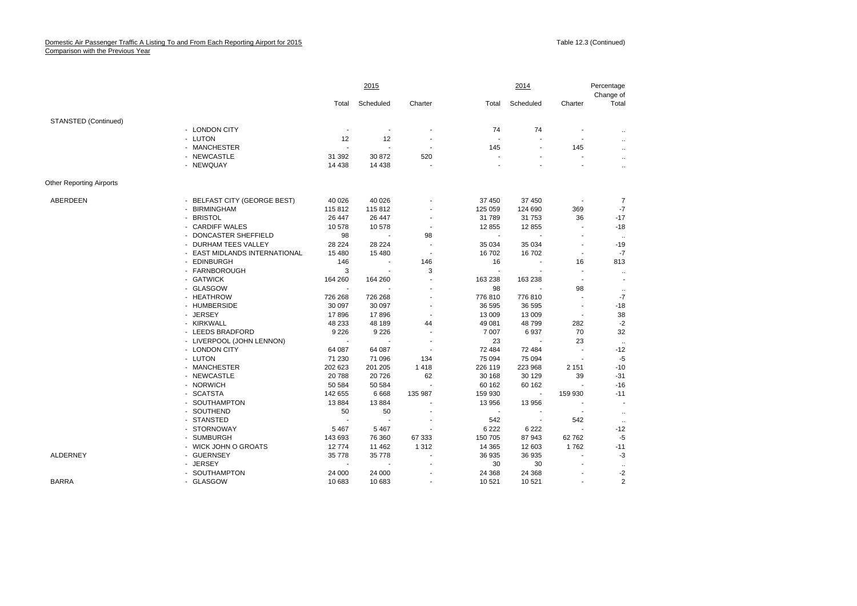|                                 |                                               | 2015           |                |                          |         | 2014                     |                          | Percentage<br>Change of |  |
|---------------------------------|-----------------------------------------------|----------------|----------------|--------------------------|---------|--------------------------|--------------------------|-------------------------|--|
|                                 |                                               | Total          | Scheduled      | Charter                  | Total   | Scheduled                | Charter                  | Total                   |  |
| STANSTED (Continued)            |                                               |                |                |                          |         |                          |                          |                         |  |
|                                 | - LONDON CITY                                 | $\blacksquare$ | $\blacksquare$ |                          | 74      | 74                       | $\blacksquare$           | $\ddotsc$               |  |
|                                 | - LUTON                                       | 12             | 12             |                          |         |                          |                          | $\ddotsc$               |  |
|                                 | - MANCHESTER                                  |                | $\blacksquare$ |                          | 145     |                          | 145                      | $\ddot{\phantom{a}}$    |  |
|                                 | - NEWCASTLE                                   | 31 392         | 30872          | 520                      |         | $\sim$                   | $\overline{\phantom{a}}$ | $\ldots$                |  |
|                                 | - NEWQUAY                                     | 14 4 38        | 14 4 38        |                          |         |                          |                          | $\ddotsc$               |  |
| <b>Other Reporting Airports</b> |                                               |                |                |                          |         |                          |                          |                         |  |
| ABERDEEN                        | - BELFAST CITY (GEORGE BEST)                  | 40 0 26        | 40 0 26        |                          | 37 450  | 37 450                   |                          | $\overline{7}$          |  |
|                                 | <b>BIRMINGHAM</b><br>$\sim$                   | 115812         | 115 812        |                          | 125 059 | 124 690                  | 369                      | $-7$                    |  |
|                                 | <b>BRISTOL</b>                                | 26 447         | 26 447         |                          | 31 789  | 31 753                   | 36                       | $-17$                   |  |
|                                 | <b>CARDIFF WALES</b><br>$\sim$                | 10578          | 10578          | $\overline{a}$           | 12 855  | 12 855                   | $\blacksquare$           | $-18$                   |  |
|                                 | DONCASTER SHEFFIELD                           | 98             |                | 98                       |         |                          |                          | $\cdots$                |  |
|                                 | <b>DURHAM TEES VALLEY</b>                     | 28 2 24        | 28 224         | $\overline{\phantom{a}}$ | 35 0 34 | 35 034                   | $\blacksquare$           | $-19$                   |  |
|                                 | EAST MIDLANDS INTERNATIONAL<br>$\blacksquare$ | 15 4 80        | 15 480         | $\blacksquare$           | 16702   | 16702                    | $\overline{\phantom{a}}$ | $-7$                    |  |
|                                 | <b>EDINBURGH</b>                              | 146            |                | 146                      | 16      |                          | 16                       | 813                     |  |
|                                 | FARNBOROUGH<br>$\sim$                         | 3              | ÷.             | 3                        |         |                          | $\blacksquare$           | $\ddotsc$               |  |
|                                 | - GATWICK                                     | 164 260        | 164 260        |                          | 163 238 | 163 238                  | $\blacksquare$           | $\blacksquare$          |  |
|                                 | - GLASGOW                                     |                |                |                          | 98      |                          | 98                       | $\cdot\cdot$            |  |
|                                 | - HEATHROW                                    | 726 268        | 726 268        |                          | 776 810 | 776810                   |                          | $-7$                    |  |
|                                 | - HUMBERSIDE                                  | 30 097         | 30 097         |                          | 36 595  | 36 595                   | $\overline{\phantom{a}}$ | $-18$                   |  |
|                                 | <b>JERSEY</b>                                 | 17896          | 17896          |                          | 13 009  | 13 009                   | $\overline{\phantom{a}}$ | 38                      |  |
|                                 | - KIRKWALL                                    | 48 233         | 48 189         | 44                       | 49 081  | 48799                    | 282                      | $-2$                    |  |
|                                 | - LEEDS BRADFORD                              | 9 2 2 6        | 9 2 2 6        |                          | 7 0 0 7 | 6937                     | 70                       | 32                      |  |
|                                 | - LIVERPOOL (JOHN LENNON)                     |                |                |                          | 23      |                          | 23                       | $\ldots$                |  |
|                                 | - LONDON CITY                                 | 64 087         | 64 087         |                          | 72 484  | 72 484                   | $\overline{\phantom{a}}$ | $-12$                   |  |
|                                 | - LUTON                                       | 71 230         | 71 096         | 134                      | 75 094  | 75 094                   |                          | $-5$                    |  |
|                                 | <b>MANCHESTER</b><br>$\sim$                   | 202 623        | 201 205        | 1 4 1 8                  | 226 119 | 223 968                  | 2 1 5 1                  | $-10$                   |  |
|                                 | - NEWCASTLE                                   | 20788          | 20726          | 62                       | 30 168  | 30 129                   | 39                       | $-31$                   |  |
|                                 | - NORWICH                                     | 50 584         | 50 584         |                          | 60 162  | 60 162                   |                          | $-16$                   |  |
|                                 | - SCATSTA                                     | 142 655        | 6668           | 135 987                  | 159 930 | $\overline{\phantom{a}}$ | 159 930                  | $-11$                   |  |
|                                 | - SOUTHAMPTON                                 | 13884          | 13884          |                          | 13 956  | 13 956                   | $\overline{\phantom{a}}$ |                         |  |
|                                 | SOUTHEND                                      | 50             | 50             |                          |         |                          |                          | $\ldots$                |  |
|                                 | <b>STANSTED</b><br>$\sim$                     |                |                |                          | 542     | $\overline{\phantom{a}}$ | 542                      | $\cdot\cdot$            |  |
|                                 | <b>STORNOWAY</b><br>$\overline{\phantom{a}}$  | 5 4 6 7        | 5467           |                          | 6 2 2 2 | 6 2 2 2                  |                          | $-12$                   |  |
|                                 | <b>SUMBURGH</b>                               | 143 693        | 76 360         | 67 333                   | 150 705 | 87 943                   | 62762                    | $-5$                    |  |
|                                 | - WICK JOHN O GROATS                          | 12774          | 11 462         | 1 3 1 2                  | 14 3 65 | 12 603                   | 1762                     | $-11$                   |  |
| ALDERNEY                        | - GUERNSEY                                    | 35 7 78        | 35 778         |                          | 36 935  | 36 935                   |                          | -3                      |  |
|                                 | <b>JERSEY</b>                                 |                |                |                          | 30      | 30                       |                          | $\ddotsc$               |  |
|                                 | - SOUTHAMPTON                                 | 24 000         | 24 000         |                          | 24 3 68 | 24 3 68                  | $\overline{\phantom{a}}$ | $-2$                    |  |
| <b>BARRA</b>                    | - GLASGOW                                     | 10 683         | 10 683         |                          | 10 521  | 10 521                   | $\blacksquare$           | 2                       |  |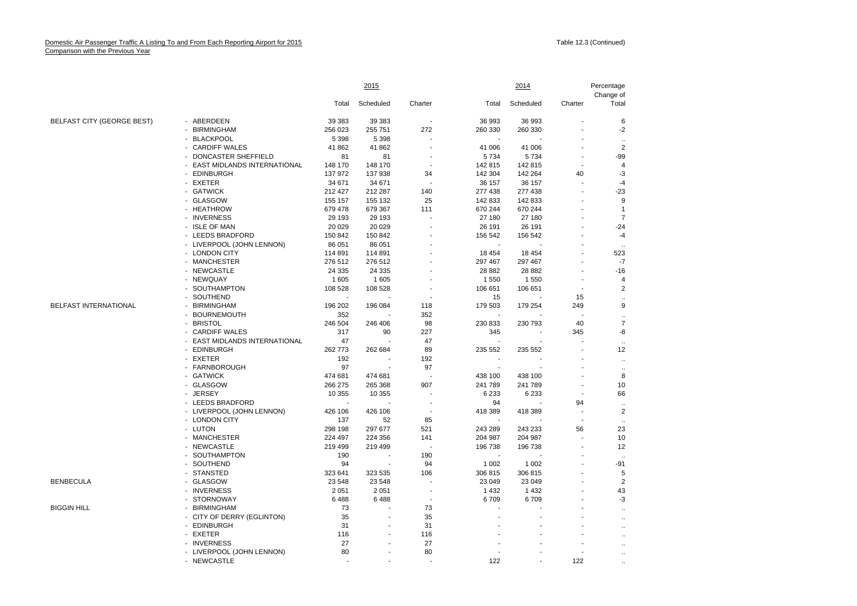|                            |                                                                | <u> 2015 </u> |           |                          |         | <u> 2014 </u> | Percentage     |                      |
|----------------------------|----------------------------------------------------------------|---------------|-----------|--------------------------|---------|---------------|----------------|----------------------|
|                            |                                                                |               |           |                          |         |               |                | Change of            |
|                            |                                                                | Total         | Scheduled | Charter                  | Total   | Scheduled     | Charter        | Total                |
| BELFAST CITY (GEORGE BEST) | - ABERDEEN                                                     | 39 383        | 39 383    |                          | 36 993  | 36 993        |                | 6                    |
|                            | <b>BIRMINGHAM</b>                                              | 256 023       | 255 751   | 272                      | 260 330 | 260 330       |                | $-2$                 |
|                            | <b>BLACKPOOL</b><br>$\overline{\phantom{a}}$                   | 5 3 9 8       | 5 3 9 8   | $\overline{\phantom{a}}$ |         |               |                | $\ddotsc$            |
|                            | <b>CARDIFF WALES</b><br>ä,                                     | 41 862        | 41 862    | Ĭ.                       | 41 006  | 41 006        |                | $\overline{2}$       |
|                            | DONCASTER SHEFFIELD<br>$\blacksquare$                          | 81            | 81        |                          | 5 7 3 4 | 5734          | ٠              | -99                  |
|                            | EAST MIDLANDS INTERNATIONAL                                    | 148 170       | 148 170   |                          | 142 815 | 142815        |                | $\overline{4}$       |
|                            | <b>EDINBURGH</b><br>$\mathbf{r}$                               | 137 972       | 137 938   | 34                       | 142 304 | 142 264       | 40             | -3                   |
|                            | - EXETER                                                       | 34 671        | 34 671    |                          | 36 157  | 36 157        |                | $-4$                 |
|                            | - GATWICK                                                      | 212 427       | 212 287   | 140                      | 277 438 | 277 438       |                | $-23$                |
|                            | <b>GLASGOW</b>                                                 | 155 157       | 155 132   | 25                       | 142 833 | 142 833       |                | 9                    |
|                            | - HEATHROW                                                     | 679 478       | 679 367   | 111                      | 670 244 | 670 244       | ٠              | $\mathbf{1}$         |
|                            | <b>INVERNESS</b><br>$\blacksquare$                             | 29 1 9 3      | 29 193    | $\overline{\phantom{a}}$ | 27 180  | 27 180        | ٠              | $\overline{7}$       |
|                            | - ISLE OF MAN                                                  | 20 0 29       | 20 0 29   |                          | 26 191  | 26 191        |                | $-24$                |
|                            | - LEEDS BRADFORD                                               | 150 842       | 150 842   |                          | 156 542 | 156 542       | ÷              | $-4$                 |
|                            | LIVERPOOL (JOHN LENNON)<br>$\blacksquare$                      | 86 051        | 86 051    |                          |         |               |                |                      |
|                            | - LONDON CITY                                                  | 114 891       | 114 891   |                          | 18 4 54 | 18 4 54       | ٠              | $\ddotsc$<br>523     |
|                            |                                                                |               |           |                          |         |               |                |                      |
|                            | - MANCHESTER                                                   | 276 512       | 276 512   |                          | 297 467 | 297 467       |                | -7                   |
|                            | <b>NEWCASTLE</b><br>$\overline{\phantom{a}}$<br>$\blacksquare$ | 24 3 35       | 24 3 35   |                          | 28 8 82 | 28 882        |                | $-16$                |
|                            | NEWQUAY<br>$\mathbf{r}$                                        | 1605          | 1605      | $\overline{a}$           | 1 5 5 0 | 1 5 5 0       | ä,             | $\overline{4}$       |
|                            | SOUTHAMPTON                                                    | 108 528       | 108 528   |                          | 106 651 | 106 651       |                | $\overline{2}$       |
|                            | SOUTHEND                                                       |               |           |                          | 15      |               | 15             | $\ddot{\phantom{0}}$ |
| BELFAST INTERNATIONAL      | <b>BIRMINGHAM</b><br>$\mathbf{r}$                              | 196 202       | 196 084   | 118                      | 179 503 | 179 254       | 249            | 9                    |
|                            | <b>BOURNEMOUTH</b><br>$\blacksquare$                           | 352           |           | 352                      |         |               |                | $\ddotsc$            |
|                            | <b>BRISTOL</b><br>$\blacksquare$                               | 246 504       | 246 406   | 98                       | 230 833 | 230 793       | 40             | $\overline{7}$       |
|                            | <b>CARDIFF WALES</b><br>$\overline{a}$                         | 317           | 90        | 227                      | 345     |               | 345            | -8                   |
|                            | EAST MIDLANDS INTERNATIONAL                                    | 47            |           | 47                       |         |               |                | $\ddotsc$            |
|                            | <b>EDINBURGH</b><br>$\overline{\phantom{a}}$                   | 262 773       | 262 684   | 89                       | 235 552 | 235 552       |                | 12                   |
|                            | - EXETER                                                       | 192           |           | 192                      |         |               |                | $\ddotsc$            |
|                            | FARNBOROUGH<br>$\overline{a}$                                  | 97            |           | 97                       | ÷       |               |                | $\ddotsc$            |
|                            | - GATWICK                                                      | 474 681       | 474 681   |                          | 438 100 | 438 100       | $\overline{a}$ | 8                    |
|                            | <b>GLASGOW</b><br>$\blacksquare$                               | 266 275       | 265 368   | 907                      | 241 789 | 241 789       |                | 10                   |
|                            | - JERSEY                                                       | 10 355        | 10 355    |                          | 6 2 3 3 | 6 2 3 3       | ÷,             | 66                   |
|                            | - LEEDS BRADFORD                                               |               |           | $\blacksquare$           | 94      |               | 94             | $\ddot{\phantom{0}}$ |
|                            | LIVERPOOL (JOHN LENNON)<br>$\blacksquare$                      | 426 106       | 426 106   | $\overline{\phantom{a}}$ | 418 389 | 418 389       | $\blacksquare$ | $\overline{2}$       |
|                            | - LONDON CITY                                                  | 137           | 52        | 85                       |         |               | ÷              | $\ldots$             |
|                            | - LUTON                                                        | 298 198       | 297 677   | 521                      | 243 289 | 243 233       | 56             | 23                   |
|                            | <b>MANCHESTER</b><br>$\sim$                                    | 224 497       | 224 356   | 141                      | 204 987 | 204 987       | J.             | 10                   |
|                            | <b>NEWCASTLE</b><br>$\blacksquare$                             | 219 499       | 219 499   |                          | 196 738 | 196 738       |                | 12                   |
|                            | SOUTHAMPTON<br>$\mathbf{r}$                                    | 190           |           | 190                      |         |               |                | $\ddotsc$            |
|                            | SOUTHEND                                                       | 94            |           | 94                       | 1 0 0 2 | 1 0 0 2       |                | $-91$                |
|                            | - STANSTED                                                     | 323 641       | 323 535   | 106                      | 306 815 | 306 815       | ٠              | 5                    |
| <b>BENBECULA</b>           | <b>GLASGOW</b><br>$\blacksquare$                               | 23 548        | 23 548    | ÷                        | 23 049  | 23 049        | ٠              | $\overline{2}$       |
|                            | - INVERNESS                                                    | 2 0 5 1       | 2 0 5 1   |                          | 1 4 3 2 | 1 4 3 2       |                | 43                   |
|                            | <b>STORNOWAY</b><br>$\overline{\phantom{a}}$                   | 6488          | 6488      | ÷,                       | 6709    | 6709          |                | -3                   |
| <b>BIGGIN HILL</b>         | <b>BIRMINGHAM</b><br>$\blacksquare$                            | 73            |           | 73                       |         |               |                | $\ddot{\phantom{a}}$ |
|                            | CITY OF DERRY (EGLINTON)<br>$\overline{\phantom{a}}$           | 35            | ä,        | 35                       |         |               |                | ÷.                   |
|                            | - EDINBURGH                                                    | 31            | ä,        | 31                       |         |               |                | $\ddot{\phantom{a}}$ |
|                            | <b>EXETER</b><br>$\blacksquare$                                | 116           |           | 116                      |         |               |                | $\ddot{\phantom{a}}$ |
|                            | <b>INVERNESS</b><br>$\blacksquare$                             | 27            |           | 27                       |         |               |                |                      |
|                            | - LIVERPOOL (JOHN LENNON)                                      | 80            | ÷.        | 80                       |         |               | ٠              |                      |
|                            | - NEWCASTLE                                                    |               | ä,        |                          | 122     |               | 122            |                      |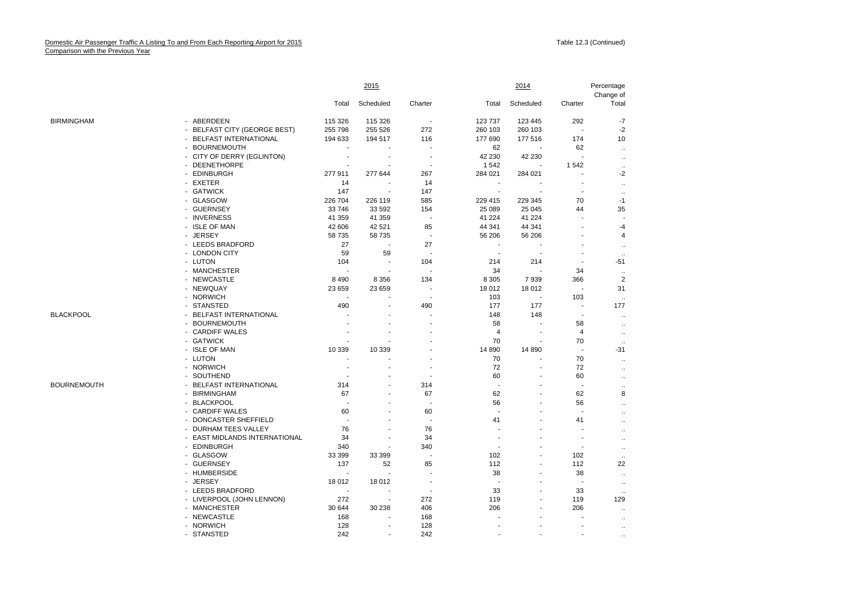|                    |                                             | 2015                     |           |                          |                          | 2014           |                          | Percentage<br>Change of  |  |
|--------------------|---------------------------------------------|--------------------------|-----------|--------------------------|--------------------------|----------------|--------------------------|--------------------------|--|
|                    |                                             | Total                    | Scheduled | Charter                  | Total                    | Scheduled      | Charter                  | Total                    |  |
| <b>BIRMINGHAM</b>  | ABERDEEN<br>$\blacksquare$                  | 115 326                  | 115 326   | $\overline{\phantom{a}}$ | 123 737                  | 123 445        | 292                      | $-7$                     |  |
|                    | <b>BELFAST CITY (GEORGE BEST)</b><br>$\sim$ | 255 798                  | 255 526   | 272                      | 260 103                  | 260 103        | $\blacksquare$           | $-2$                     |  |
|                    | - BELFAST INTERNATIONAL                     | 194 633                  | 194 517   | 116                      | 177 690                  | 177 516        | 174                      | 10                       |  |
|                    | - BOURNEMOUTH                               |                          |           |                          | 62                       |                | 62                       | $\ldots$                 |  |
|                    | CITY OF DERRY (EGLINTON)<br>$\blacksquare$  | ÷,                       |           |                          | 42 230                   | 42 230         | ÷,                       | $\ldots$                 |  |
|                    | <b>DEENETHORPE</b>                          | ÷.                       |           |                          | 1 5 4 2                  |                | 1542                     | $\ldots$                 |  |
|                    | - EDINBURGH                                 | 277 911                  | 277 644   | 267                      | 284 021                  | 284 021        | $\overline{\phantom{a}}$ | $-2$                     |  |
|                    | EXETER<br>$\sim$                            | 14                       |           | 14                       |                          |                | $\overline{\phantom{a}}$ | $\ddotsc$                |  |
|                    | - GATWICK                                   | 147                      | ÷         | 147                      | $\overline{\phantom{a}}$ |                | $\overline{\phantom{a}}$ | $\ddotsc$                |  |
|                    | - GLASGOW                                   | 226 704                  | 226 119   | 585                      | 229 415                  | 229 345        | 70                       | $-1$                     |  |
|                    | - GUERNSEY                                  | 33 746                   | 33 592    | 154                      | 25 089                   | 25 045         | 44                       | 35                       |  |
|                    | - INVERNESS                                 | 41 359                   | 41 359    |                          | 41 224                   | 41 224         |                          | $\overline{\phantom{a}}$ |  |
|                    | - ISLE OF MAN                               | 42 606                   | 42 521    | 85                       | 44 341                   | 44 341         |                          | $-4$                     |  |
|                    | - JERSEY                                    | 58 735                   | 58 735    |                          | 56 206                   | 56 206         |                          | 4                        |  |
|                    | - LEEDS BRADFORD                            | 27                       |           | 27                       |                          |                |                          | $\ddotsc$                |  |
|                    | - LONDON CITY                               | 59                       | 59        |                          | $\sim$                   |                | ٠                        | $\ddotsc$                |  |
|                    | - LUTON                                     | 104                      | ÷,        | 104                      | 214                      | 214            | ÷,                       | $-51$                    |  |
|                    | - MANCHESTER                                |                          |           |                          | 34                       |                | 34                       | $\ddotsc$                |  |
|                    | - NEWCASTLE                                 | 8 4 9 0                  | 8 3 5 6   | 134                      | 8 3 0 5                  | 7939           | 366                      | $\overline{2}$           |  |
|                    | - NEWQUAY                                   | 23 659                   | 23 659    |                          | 18 012                   | 18 012         | ÷,                       | 31                       |  |
|                    | - NORWICH                                   |                          |           |                          | 103                      | ÷,             | 103                      | $\cdot$                  |  |
|                    | <b>STANSTED</b><br>$\sim$                   | 490                      |           | 490                      | 177                      | 177            | $\sim$                   | 177                      |  |
| <b>BLACKPOOL</b>   | - BELFAST INTERNATIONAL                     |                          | ä,        |                          | 148                      | 148            | $\overline{\phantom{a}}$ | $\ddot{\phantom{0}}$     |  |
|                    | <b>BOURNEMOUTH</b>                          |                          |           |                          | 58                       |                | 58                       | $\ddot{\phantom{0}}$     |  |
|                    | - CARDIFF WALES                             |                          |           |                          | $\overline{4}$           |                | $\overline{4}$           | $\ddotsc$                |  |
|                    | <b>GATWICK</b><br>$\blacksquare$            | ÷                        | ÷.        |                          | 70                       | $\overline{a}$ | 70                       | $\ldots$                 |  |
|                    | - ISLE OF MAN                               | 10 339                   | 10 339    |                          | 14 890                   | 14 8 90        | ÷,                       | $-31$                    |  |
|                    | - LUTON                                     |                          |           |                          | 70                       |                | 70                       | $\ddotsc$                |  |
|                    | - NORWICH                                   | $\overline{\phantom{a}}$ |           |                          | 72                       |                | 72                       | $\ddotsc$                |  |
|                    | - SOUTHEND                                  |                          | ÷         |                          | 60                       | ٠              | 60                       | $\ddot{\phantom{0}}$     |  |
| <b>BOURNEMOUTH</b> | <b>BELFAST INTERNATIONAL</b><br>$\sim$      | 314                      |           | 314                      | $\overline{\phantom{a}}$ |                | ÷,                       | $\ddotsc$                |  |
|                    | <b>BIRMINGHAM</b><br>$\sim$                 | 67                       | ÷,        | 67                       | 62                       |                | 62                       | 8                        |  |
|                    | <b>BLACKPOOL</b><br>$\sim$                  | $\overline{a}$           | ÷.        |                          | 56                       | ÷              | 56                       | $\ddotsc$                |  |
|                    | - CARDIFF WALES                             | 60                       | ÷         | 60                       |                          | ÷              | J.                       | $\ddotsc$                |  |
|                    | DONCASTER SHEFFIELD<br>$\sim$               |                          |           |                          | 41                       |                | 41                       | $\ddot{\phantom{0}}$     |  |
|                    | DURHAM TEES VALLEY                          | 76                       |           | 76                       |                          |                |                          | $\ddot{\phantom{0}}$     |  |
|                    | EAST MIDLANDS INTERNATIONAL<br>$\sim$       | 34                       | ÷         | 34                       | $\overline{\phantom{a}}$ | ٠              | $\overline{\phantom{a}}$ | $\ddot{\phantom{0}}$     |  |
|                    | - EDINBURGH                                 | 340                      |           | 340                      |                          |                | $\overline{\phantom{a}}$ | $\ddotsc$                |  |
|                    | - GLASGOW                                   | 33 399                   | 33 399    |                          | 102                      | ä,             | 102                      | $\ddotsc$                |  |
|                    | <b>GUERNSEY</b><br>$\blacksquare$           | 137                      | 52        | 85                       | 112                      | ä,             | 112                      | 22                       |  |
|                    | - HUMBERSIDE                                | $\overline{\phantom{a}}$ | ä,        |                          | 38                       | ä,             | 38                       | $\ddotsc$                |  |
|                    | - JERSEY                                    | 18 012                   | 18 012    | $\blacksquare$           |                          | ÷              |                          | $\ddotsc$                |  |
|                    | - LEEDS BRADFORD                            |                          |           |                          | 33                       |                | 33                       | $\ldots$                 |  |
|                    | - LIVERPOOL (JOHN LENNON)                   | 272                      | ÷,        | 272                      | 119                      |                | 119                      | 129                      |  |
|                    | - MANCHESTER                                | 30 644                   | 30 238    | 406                      | 206                      |                | 206                      | $\ddotsc$                |  |
|                    | - NEWCASTLE                                 | 168                      |           | 168                      |                          | ٠              |                          | $\ldots$                 |  |
|                    | - NORWICH                                   | 128                      | ÷         | 128                      |                          | ÷              |                          | $\ddotsc$                |  |
|                    | - STANSTED                                  | 242                      |           | 242                      |                          |                |                          |                          |  |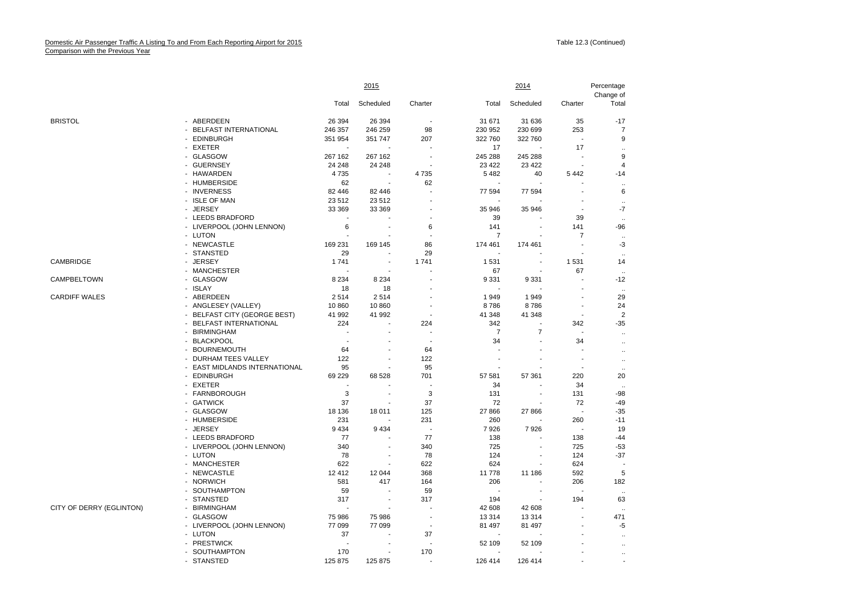|                          |                                                          | 2015    |                          |                          | 2014           | Percentage<br>Change of |                          |                      |
|--------------------------|----------------------------------------------------------|---------|--------------------------|--------------------------|----------------|-------------------------|--------------------------|----------------------|
|                          |                                                          | Total   | Scheduled                | Charter                  | Total          | Scheduled               | Charter                  | Total                |
| <b>BRISTOL</b>           | ABERDEEN                                                 | 26 394  | 26 394                   |                          | 31 671         | 31 636                  | 35                       | $-17$                |
|                          | <b>BELFAST INTERNATIONAL</b><br>$\overline{\phantom{0}}$ | 246 357 | 246 259                  | 98                       | 230 952        | 230 699                 | 253                      | 7                    |
|                          | - EDINBURGH                                              | 351 954 | 351 747                  | 207                      | 322 760        | 322 760                 | $\sim$                   | 9                    |
|                          | - EXETER                                                 |         |                          | $\overline{a}$           | 17             |                         | 17                       | $\ddot{\phantom{a}}$ |
|                          | - GLASGOW                                                | 267 162 | 267 162                  | $\overline{\phantom{a}}$ | 245 288        | 245 288                 | ÷,                       | 9                    |
|                          | - GUERNSEY                                               | 24 248  | 24 24 8                  | $\overline{a}$           | 23 4 22        | 23 4 22                 | ÷.                       | 4                    |
|                          | - HAWARDEN                                               | 4735    | ÷,                       | 4735                     | 5 4 8 2        | 40                      | 5 4 4 2                  | $-14$                |
|                          | - HUMBERSIDE                                             | 62      | $\overline{\phantom{a}}$ | 62                       |                |                         |                          | $\ddotsc$            |
|                          | <b>INVERNESS</b><br>÷.                                   | 82 446  | 82 446                   | $\sim$                   | 77 594         | 77 594                  | ÷,                       | 6                    |
|                          | - ISLE OF MAN                                            | 23 512  | 23 512                   |                          |                |                         |                          | $\ddotsc$            |
|                          | - JERSEY                                                 | 33 369  | 33 369                   |                          | 35 946         | 35 946                  | $\overline{\phantom{a}}$ | $-7$                 |
|                          | - LEEDS BRADFORD                                         |         | ä,                       |                          | 39             |                         | 39                       | $\ddotsc$            |
|                          | - LIVERPOOL (JOHN LENNON)                                | 6       | ÷                        | 6                        | 141            |                         | 141                      | $-96$                |
|                          | - LUTON                                                  |         |                          |                          | $\overline{7}$ |                         | $\overline{7}$           | $\ddotsc$            |
|                          | - NEWCASTLE                                              | 169 231 | 169 145                  | 86                       | 174 461        | 174 461                 | ÷.                       | -3                   |
|                          | <b>STANSTED</b><br>$\overline{\phantom{0}}$              | 29      |                          | 29                       |                |                         |                          |                      |
| CAMBRIDGE                | - JERSEY                                                 | 1741    | $\blacksquare$           | 1741                     | 1 5 3 1        |                         | 1 5 3 1                  | 14                   |
|                          | - MANCHESTER                                             |         |                          |                          | 67             |                         | 67                       |                      |
| CAMPBELTOWN              | - GLASGOW                                                | 8 2 3 4 | 8 2 3 4                  | $\overline{a}$           | 9 3 3 1        | 9 3 3 1                 | ÷,                       | $-12$                |
|                          | <b>ISLAY</b><br>$\overline{a}$                           | 18      | 18                       |                          |                |                         | J.                       | $\ddotsc$            |
| <b>CARDIFF WALES</b>     | - ABERDEEN                                               | 2514    | 2514                     |                          | 1949           | 1949                    | ÷.                       | 29                   |
|                          | - ANGLESEY (VALLEY)                                      | 10 860  | 10 860                   |                          | 8786           | 8786                    | $\overline{\phantom{a}}$ | 24                   |
|                          | <b>BELFAST CITY (GEORGE BEST)</b>                        | 41 992  | 41 992                   | $\blacksquare$           | 41 348         | 41 348                  | $\blacksquare$           | $\overline{2}$       |
|                          | <b>BELFAST INTERNATIONAL</b><br>÷.                       | 224     | ÷,                       | 224                      | 342            |                         | 342                      | $-35$                |
|                          | <b>BIRMINGHAM</b><br>$\blacksquare$                      |         |                          |                          | $\overline{7}$ | $\overline{7}$          | ÷,                       | $\ddotsc$            |
|                          | <b>BLACKPOOL</b>                                         |         |                          | $\blacksquare$           | 34             |                         | 34                       | $\ddot{\phantom{0}}$ |
|                          | <b>BOURNEMOUTH</b><br>$\mathbf{r}$                       | 64      | ٠                        | 64                       |                |                         | $\overline{\phantom{a}}$ | $\ddotsc$            |
|                          | DURHAM TEES VALLEY                                       | 122     | ä,                       | 122                      | ÷              |                         | $\overline{\phantom{a}}$ | $\ddotsc$            |
|                          | - EAST MIDLANDS INTERNATIONAL                            | 95      |                          | 95                       |                |                         | $\overline{a}$           | $\ddotsc$            |
|                          | - EDINBURGH                                              | 69 229  | 68 528                   | 701                      | 57 581         | 57 361                  | 220                      | 20                   |
|                          | <b>EXETER</b><br>ä.                                      |         |                          |                          | 34             |                         | 34                       |                      |
|                          | - FARNBOROUGH                                            | 3       | ٠                        | 3                        | 131            |                         | 131                      | $-98$                |
|                          | - GATWICK                                                | 37      |                          | 37                       | 72             |                         | 72                       | $-49$                |
|                          | - GLASGOW                                                | 18 136  | 18 011                   | 125                      | 27 866         | 27 866                  | ÷.                       | $-35$                |
|                          | - HUMBERSIDE                                             | 231     |                          | 231                      | 260            |                         | 260                      | $-11$                |
|                          | - JERSEY                                                 | 9 4 3 4 | 9434                     | $\overline{\phantom{a}}$ | 7926           | 7926                    |                          | 19                   |
|                          | - LEEDS BRADFORD                                         | 77      |                          | 77                       | 138            |                         | 138                      | $-44$                |
|                          | - LIVERPOOL (JOHN LENNON)                                | 340     | $\overline{\phantom{a}}$ | 340                      | 725            | $\blacksquare$          | 725                      | $-53$                |
|                          | - LUTON                                                  | 78      | ÷                        | 78                       | 124            |                         | 124                      | $-37$                |
|                          | - MANCHESTER                                             | 622     |                          | 622                      | 624            |                         | 624                      |                      |
|                          | - NEWCASTLE                                              | 12 412  | 12 044                   | 368                      | 11778          | 11 186                  | 592                      | 5                    |
|                          | <b>NORWICH</b><br>$\overline{\phantom{a}}$               | 581     | 417                      | 164                      | 206            |                         | 206                      | 182                  |
|                          | SOUTHAMPTON<br>$\blacksquare$                            | 59      | $\overline{a}$           | 59                       | ÷,             |                         | $\overline{a}$           |                      |
|                          | <b>STANSTED</b>                                          | 317     | $\blacksquare$           | 317                      | 194            |                         | 194                      | 63                   |
| CITY OF DERRY (EGLINTON) | <b>BIRMINGHAM</b>                                        |         | ÷                        | $\overline{\phantom{a}}$ | 42 608         | 42 608                  | ÷                        |                      |
|                          | - GLASGOW                                                | 75 986  | 75 986                   | $\sim$                   | 13 3 14        | 13 3 14                 | ÷,                       | 471                  |
|                          | - LIVERPOOL (JOHN LENNON)                                | 77 099  | 77 099                   | $\overline{\phantom{a}}$ | 81 497         | 81 497                  | ÷.                       | $-5$                 |
|                          | - LUTON                                                  | 37      |                          | 37                       |                |                         |                          | $\ddotsc$            |
|                          | - PRESTWICK                                              |         |                          |                          | 52 109         | 52 109                  |                          | $\cdot$              |
|                          | SOUTHAMPTON<br>$\overline{\phantom{0}}$                  | 170     |                          | 170                      |                |                         |                          | $\ddot{\phantom{0}}$ |
|                          | - STANSTED                                               | 125 875 | 125 875                  |                          | 126 414        | 126 414                 | ٠                        |                      |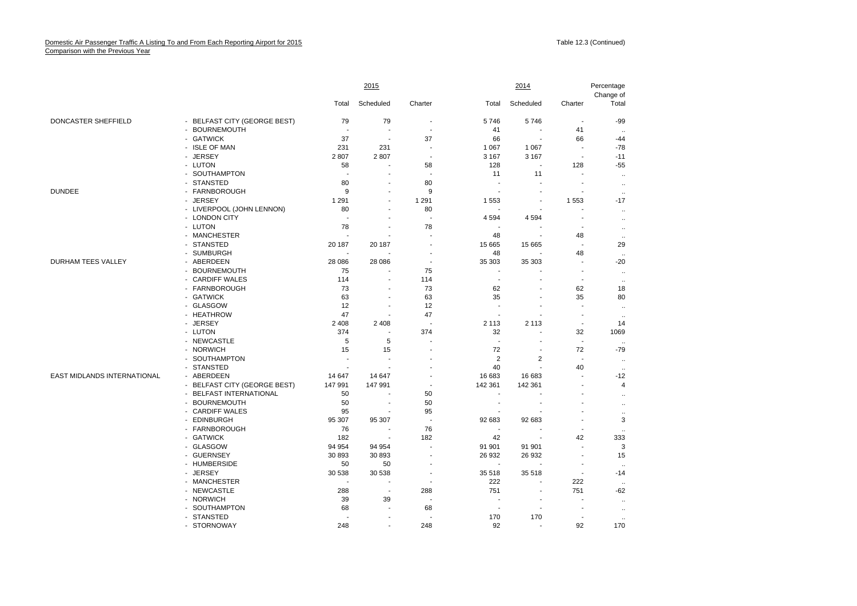## Domestic Air Passenger Traffic A Listing To and From Each Reporting Airport for 2015 Comparison with the Previous Year

|                             |                              | 2015              |                          |                          |                          | Percentage                          |                          |                               |
|-----------------------------|------------------------------|-------------------|--------------------------|--------------------------|--------------------------|-------------------------------------|--------------------------|-------------------------------|
|                             |                              | Total             | Scheduled                | Charter                  | Total                    | Scheduled                           | Charter                  | Change of<br>Total            |
| DONCASTER SHEFFIELD         | - BELFAST CITY (GEORGE BEST) | 79                | 79                       | $\overline{\phantom{a}}$ | 5746                     | 5746                                | $\overline{\phantom{a}}$ | $-99$                         |
|                             | - BOURNEMOUTH                |                   | J.                       | $\sim$                   | 41                       | ÷.                                  | 41                       |                               |
|                             | - GATWICK                    | 37                | $\sim$                   | 37                       | 66                       | $\overline{\phantom{a}}$            | 66                       | <br>$-44$                     |
|                             | - ISLE OF MAN                | 231               | 231                      | $\overline{\phantom{a}}$ | 1 0 6 7                  | 1 0 6 7                             | ÷,                       | $-78$                         |
|                             |                              |                   |                          | $\overline{\phantom{a}}$ |                          |                                     | $\overline{\phantom{a}}$ | $-11$                         |
|                             | - JERSEY                     | 2807              | 2807<br>$\blacksquare$   |                          | 3 1 6 7                  | 3 1 6 7<br>$\overline{\phantom{a}}$ |                          |                               |
|                             | - LUTON                      | 58                |                          | 58                       | 128                      |                                     | 128                      | $-55$                         |
|                             | - SOUTHAMPTON                |                   |                          | $\overline{\phantom{a}}$ | 11                       | 11                                  |                          | $\cdot\cdot$                  |
|                             | - STANSTED                   | 80                |                          | 80                       | $\blacksquare$           |                                     | $\overline{a}$           | $\ldots$                      |
| <b>DUNDEE</b>               | - FARNBOROUGH                | 9                 |                          | 9                        |                          |                                     |                          | $\ldots$                      |
|                             | - JERSEY                     | 1 2 9 1           | $\overline{a}$           | 1 2 9 1                  | 1 5 5 3                  | $\overline{\phantom{a}}$            | 1553                     | $-17$                         |
|                             | - LIVERPOOL (JOHN LENNON)    | 80                |                          | 80                       |                          | $\overline{\phantom{a}}$            |                          | $\ldots$                      |
|                             | - LONDON CITY                |                   | $\overline{a}$           | $\overline{\phantom{a}}$ | 4 5 9 4                  | 4594                                | ٠                        | $\ddotsc$                     |
|                             | - LUTON                      | 78                | ÷                        | 78                       | $\blacksquare$           |                                     |                          | $\cdot\cdot$                  |
|                             | - MANCHESTER                 |                   |                          | $\overline{a}$           | 48                       | $\overline{\phantom{a}}$            | 48                       | $\ddotsc$                     |
|                             | - STANSTED                   | 20 187            | 20 187                   | $\overline{\phantom{a}}$ | 15 665                   | 15 6 65                             | ÷                        | 29                            |
|                             | - SUMBURGH                   |                   | $\blacksquare$           | $\overline{\phantom{a}}$ | 48                       |                                     | 48                       | $\ddotsc$                     |
| <b>DURHAM TEES VALLEY</b>   | - ABERDEEN                   | 28 086            | 28 086                   | $\overline{a}$           | 35 303                   | 35 303                              |                          | $-20$                         |
|                             | - BOURNEMOUTH                | 75                | ÷,                       | 75                       | $\overline{a}$           |                                     | $\blacksquare$           | $\ddotsc$                     |
|                             | - CARDIFF WALES              | 114               | ÷,                       | 114                      | $\blacksquare$           | $\overline{\phantom{a}}$            | ä,                       | $\ddotsc$                     |
|                             | - FARNBOROUGH                | 73                | $\blacksquare$           | 73                       | 62                       | $\overline{a}$                      | 62                       | 18                            |
|                             | - GATWICK                    | 63                |                          | 63                       | 35                       | ÷,                                  | 35                       | 80                            |
|                             | - GLASGOW                    | 12                | ÷,                       | 12                       | ÷,                       | $\overline{\phantom{a}}$            | ä,                       | $\ddotsc$                     |
|                             | - HEATHROW                   | 47                | ÷.                       | 47                       | $\sim$                   | ÷                                   | $\overline{a}$           | $\ddotsc$                     |
|                             | - JERSEY                     | 2 4 0 8           | 2 4 0 8                  | $\overline{\phantom{a}}$ | 2 1 1 3                  | 2 1 1 3                             | $\blacksquare$           | 14                            |
|                             | - LUTON                      | 374               | $\overline{\phantom{a}}$ | 374                      | 32                       | ÷,                                  | 32                       | 1069                          |
|                             | - NEWCASTLE                  | 5                 | 5                        | $\blacksquare$           | $\blacksquare$           | ÷                                   | $\sim$                   |                               |
|                             | - NORWICH                    | 15                | 15                       | $\blacksquare$           | 72                       | $\overline{\phantom{a}}$            | 72                       | $-79$                         |
|                             | - SOUTHAMPTON                |                   |                          | ÷                        | 2                        | 2                                   | $\overline{a}$           |                               |
|                             | - STANSTED                   |                   |                          |                          | 40                       | $\overline{a}$                      | 40                       | $\ddotsc$                     |
| EAST MIDLANDS INTERNATIONAL | - ABERDEEN                   |                   | 14 647                   | $\blacksquare$           | 16 683                   | 16 683                              |                          | $\ddot{\phantom{a}}$<br>$-12$ |
|                             |                              | 14 647<br>147 991 | 147 991                  | $\overline{\phantom{a}}$ |                          | 142 361                             |                          | $\overline{4}$                |
|                             | - BELFAST CITY (GEORGE BEST) |                   |                          |                          | 142 361                  |                                     |                          |                               |
|                             | - BELFAST INTERNATIONAL      | 50                |                          | 50                       | $\blacksquare$           |                                     |                          | $\ldots$                      |
|                             | - BOURNEMOUTH                | 50                | $\overline{\phantom{a}}$ | 50                       | $\overline{a}$           |                                     |                          | $\ldots$                      |
|                             | - CARDIFF WALES              | 95                |                          | 95                       |                          |                                     |                          | $\ldots$                      |
|                             | - EDINBURGH                  | 95 307            | 95 307                   | $\overline{\phantom{a}}$ | 92 683                   | 92 683                              |                          | 3                             |
|                             | - FARNBOROUGH                | 76                | $\overline{\phantom{a}}$ | 76                       | $\overline{\phantom{a}}$ |                                     |                          | $\ddotsc$                     |
|                             | - GATWICK                    | 182               | $\overline{\phantom{a}}$ | 182                      | 42                       | $\overline{\phantom{a}}$            | 42                       | 333                           |
|                             | - GLASGOW                    | 94 954            | 94 954                   | $\overline{a}$           | 91 901                   | 91 901                              | ÷                        | 3                             |
|                             | - GUERNSEY                   | 30 893            | 30 893                   | $\blacksquare$           | 26 932                   | 26 932                              | ÷                        | 15                            |
|                             | - HUMBERSIDE                 | 50                | 50                       | $\overline{\phantom{a}}$ | $\blacksquare$           | $\overline{\phantom{a}}$            | ÷                        | $\ddot{\phantom{a}}$          |
|                             | - JERSEY                     | 30 538            | 30 538                   | $\blacksquare$           | 35 518                   | 35 518                              | $\overline{a}$           | $-14$                         |
|                             | - MANCHESTER                 |                   | ÷.                       | $\blacksquare$           | 222                      | ÷                                   | 222                      |                               |
|                             | - NEWCASTLE                  | 288               | $\sim$                   | 288                      | 751                      | ÷,                                  | 751                      | $-62$                         |
|                             | - NORWICH                    | 39                | 39                       | $\blacksquare$           | $\blacksquare$           | $\overline{\phantom{a}}$            |                          | $\ddot{\phantom{a}}$          |
|                             | - SOUTHAMPTON                | 68                | ÷,                       | 68                       | $\blacksquare$           | $\overline{\phantom{a}}$            | ä,                       | $\ddotsc$                     |
|                             | - STANSTED                   |                   |                          |                          | 170                      | 170                                 |                          | $\ddot{\phantom{a}}$          |
|                             | - STORNOWAY                  | 248               |                          | 248                      | 92                       |                                     | 92                       | 170                           |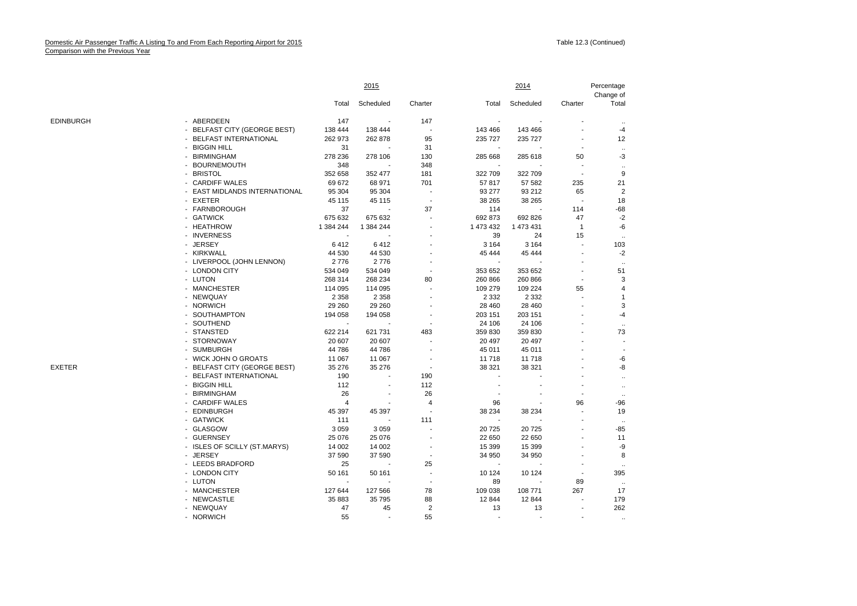|           |                               |                | <u>2015</u>    |                          |                | 2014      |                          |                         |
|-----------|-------------------------------|----------------|----------------|--------------------------|----------------|-----------|--------------------------|-------------------------|
|           |                               | Total          | Scheduled      | Charter                  | Total          | Scheduled | Charter                  | Total                   |
| EDINBURGH | - ABERDEEN                    | 147            |                | 147                      |                |           |                          |                         |
|           | - BELFAST CITY (GEORGE BEST)  | 138 444        | 138 444        | $\overline{\phantom{a}}$ | 143 466        | 143 466   |                          | $-4$                    |
|           | - BELFAST INTERNATIONAL       | 262 973        | 262 878        | 95                       | 235 727        | 235 727   |                          | 12                      |
|           | - BIGGIN HILL                 | 31             |                | 31                       |                |           |                          | $\ldots$                |
|           | - BIRMINGHAM                  | 278 236        | 278 106        | 130                      | 285 668        | 285 618   | 50                       | $-3$                    |
|           | - BOURNEMOUTH                 | 348            |                | 348                      |                |           | $\blacksquare$           | $\ddotsc$               |
|           | - BRISTOL                     | 352 658        | 352 477        | 181                      | 322 709        | 322 709   | $\overline{\phantom{a}}$ | 9                       |
|           | - CARDIFF WALES               | 69 672         | 68 971         | 701                      | 57817          | 57 582    | 235                      | 21                      |
|           | - EAST MIDLANDS INTERNATIONAL | 95 304         | 95 304         | $\overline{\phantom{a}}$ | 93 277         | 93 212    | 65                       | $\overline{\mathbf{c}}$ |
|           | - EXETER                      | 45 115         | 45 115         | $\overline{\phantom{a}}$ | 38 265         | 38 265    | $\overline{\phantom{a}}$ | 18                      |
|           | - FARNBOROUGH                 | 37             |                | 37                       | 114            |           | 114                      | $-68$                   |
|           | - GATWICK                     | 675 632        | 675 632        |                          | 692 873        | 692 826   | 47                       | $-2$                    |
|           | - HEATHROW                    | 1 384 244      | 1 384 244      |                          | 1 473 432      | 1 473 431 | $\mathbf{1}$             | $-6$                    |
|           | - INVERNESS                   |                |                |                          | 39             | 24        | 15                       | $\ddotsc$               |
|           | - JERSEY                      | 6412           | 6412           |                          | 3 1 6 4        | 3 1 6 4   | ÷                        | 103                     |
|           | - KIRKWALL                    | 44 530         | 44 530         |                          | 45 444         | 45 444    |                          | $-2$                    |
|           | - LIVERPOOL (JOHN LENNON)     | 2776           | 2776           | ٠                        |                |           |                          | $\ddot{\phantom{a}}$    |
|           | - LONDON CITY                 | 534 049        | 534 049        |                          | 353 652        | 353 652   |                          | 51                      |
|           | - LUTON                       | 268 314        | 268 234        | 80                       | 260 866        | 260 866   | $\overline{a}$           | 3                       |
|           | - MANCHESTER                  | 114 095        | 114 095        |                          | 109 279        | 109 224   | 55                       | $\overline{4}$          |
|           | - NEWQUAY                     | 2 3 5 8        | 2 3 5 8        |                          | 2 3 3 2        | 2 3 3 2   |                          | -1                      |
|           | - NORWICH                     | 29 260         | 29 260         |                          | 28 460         | 28 460    |                          | 3                       |
|           | - SOUTHAMPTON                 | 194 058        | 194 058        |                          | 203 151        | 203 151   |                          | $-4$                    |
|           | - SOUTHEND                    |                |                | ÷,                       | 24 10 6        | 24 106    |                          | $\ddotsc$               |
|           | - STANSTED                    | 622 214        | 621 731        | 483                      | 359 830        | 359 830   |                          | 73                      |
|           | - STORNOWAY                   | 20 607         | 20 607         | L,                       | 20 497         | 20 497    |                          | $\sim$                  |
|           | - SUMBURGH                    | 44 786         | 44 786         | $\overline{\phantom{a}}$ | 45 011         | 45 011    |                          | $\blacksquare$          |
|           | - WICK JOHN O GROATS          | 11 067         | 11 067         |                          | 11 718         | 11718     |                          | -6                      |
| EXETER    | - BELFAST CITY (GEORGE BEST)  | 35 276         | 35 276         | $\overline{\phantom{a}}$ | 38 321         | 38 321    |                          | -8                      |
|           | - BELFAST INTERNATIONAL       | 190            |                | 190                      |                |           |                          | $\ddotsc$               |
|           | - BIGGIN HILL                 | 112            | $\blacksquare$ | 112                      |                |           |                          | $\ddotsc$               |
|           | - BIRMINGHAM                  | 26             |                | 26                       |                |           |                          | $\ldots$                |
|           | - CARDIFF WALES               | $\overline{4}$ |                | 4                        | 96             |           | 96                       | $-96$                   |
|           | - EDINBURGH                   | 45 397         | 45 397         | $\overline{\phantom{a}}$ | 38 234         | 38 234    |                          | 19                      |
|           | - GATWICK                     | 111            |                | 111                      |                |           |                          | $\ddot{\phantom{0}}$    |
|           | - GLASGOW                     | 3 0 5 9        | 3 0 5 9        |                          | 20 7 25        | 20725     |                          | -85                     |
|           | - GUERNSEY                    | 25 0 76        | 25 076         | $\overline{a}$           | 22 650         | 22 650    | ä,                       | 11                      |
|           | - ISLES OF SCILLY (ST.MARYS)  | 14 002         | 14 002         | $\overline{\phantom{a}}$ | 15 3 9 9       | 15 3 9 9  |                          | -9                      |
|           | - JERSEY                      | 37 590         | 37 590         | $\overline{\phantom{a}}$ | 34 950         | 34 950    |                          | 8                       |
|           | - LEEDS BRADFORD              | 25             |                | 25                       |                |           |                          | $\ldots$                |
|           | - LONDON CITY                 | 50 161         | 50 161         | $\overline{\phantom{a}}$ | 10 124         | 10 124    | $\blacksquare$           | 395                     |
|           | - LUTON                       |                |                | $\overline{\phantom{a}}$ | 89             |           | 89                       | $\ldots$                |
|           | - MANCHESTER                  | 127 644        | 127 566        | 78                       | 109 038        | 108 771   | 267                      | 17                      |
|           | - NEWCASTLE                   | 35 883         | 35 795         | 88                       | 12 844         | 12 844    |                          | 179                     |
|           | - NEWQUAY                     | 47             | 45             | $\sqrt{2}$               | 13             | 13        | $\overline{\phantom{a}}$ | 262                     |
|           | - NORWICH                     | 55             | $\blacksquare$ | 55                       | $\blacksquare$ | $\sim$    | $\blacksquare$           | $\ddotsc$               |
|           |                               |                |                |                          |                |           |                          |                         |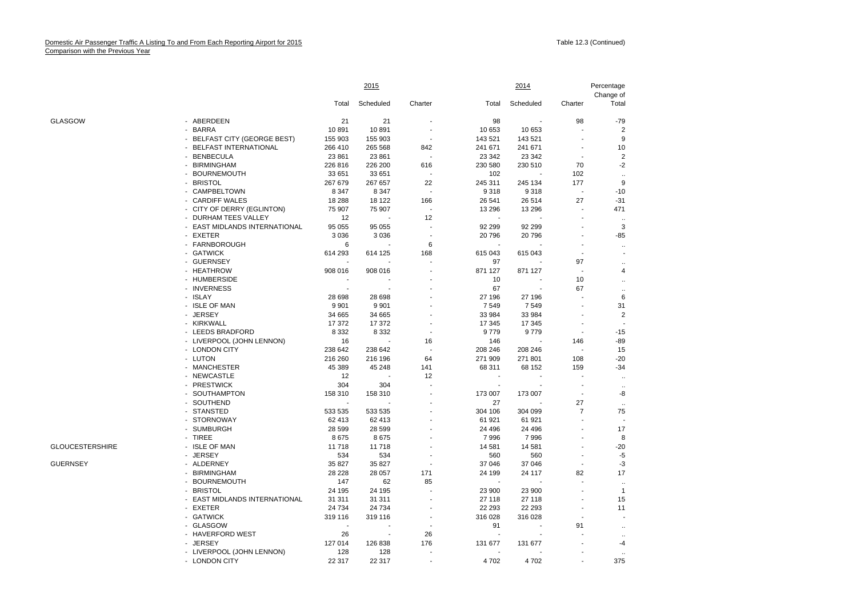|                 |                               | 2015    |           |         | <u>2014</u>      |                  |                          |                           |
|-----------------|-------------------------------|---------|-----------|---------|------------------|------------------|--------------------------|---------------------------|
|                 |                               | Total   | Scheduled | Charter | Total            | Scheduled        | Charter                  | Change of<br>Total        |
| GLASGOW         | - ABERDEEN                    | 21      | 21        |         | 98               |                  | 98                       | $-79$                     |
|                 | - BARRA                       | 10891   | 10891     |         | 10 653           | 10 653           |                          | $\overline{2}$            |
|                 | - BELFAST CITY (GEORGE BEST)  | 155 903 | 155 903   |         | 143 521          | 143 521          |                          | 9                         |
|                 | - BELFAST INTERNATIONAL       | 266 410 | 265 568   | 842     | 241 671          | 241 671          |                          | 10                        |
|                 | - BENBECULA                   | 23 861  | 23 861    |         | 23 342           | 23 342           |                          | $\overline{2}$            |
|                 | - BIRMINGHAM                  | 226 816 | 226 200   | 616     | 230 580          | 230 510          | 70                       | $-2$                      |
|                 | - BOURNEMOUTH                 | 33 651  | 33 651    |         | 102              |                  | 102                      | $\ddot{\phantom{a}}$      |
|                 | - BRISTOL                     | 267 679 | 267 657   | 22      | 245 311          | 245 134          | 177                      | 9                         |
|                 | - CAMPBELTOWN                 | 8 3 4 7 | 8 3 4 7   |         | 9 3 1 8          | 9318             | $\overline{\phantom{a}}$ | $-10$                     |
|                 | - CARDIFF WALES               | 18 288  | 18 122    | 166     | 26 541           | 26 514           | 27                       | $-31$                     |
|                 | - CITY OF DERRY (EGLINTON)    | 75 907  | 75 907    |         | 13 296           | 13 29 6          |                          | 471                       |
|                 | - DURHAM TEES VALLEY          | 12      |           | 12      |                  |                  |                          | $\ddotsc$                 |
|                 | - EAST MIDLANDS INTERNATIONAL | 95 055  | 95 055    |         | 92 299           | 92 299           |                          | 3                         |
|                 | - EXETER                      | 3 0 3 6 | 3 0 3 6   |         | 20796            | 20796            |                          | $-85$                     |
|                 | - FARNBOROUGH                 | 6       |           | 6       |                  |                  |                          | $\ldots$                  |
|                 | - GATWICK                     | 614 293 | 614 125   | 168     | 615 043          | 615 043          |                          |                           |
|                 | - GUERNSEY                    |         |           |         | 97               |                  | 97                       | $\ddotsc$                 |
|                 | - HEATHROW                    | 908 016 | 908 016   |         | 871 127          | 871 127          |                          | 4                         |
|                 | - HUMBERSIDE                  |         |           |         | 10               |                  | 10                       | $\ddotsc$                 |
|                 | - INVERNESS                   |         |           |         | 67               |                  | 67                       | $\ddot{\phantom{0}}$      |
|                 | - ISLAY                       | 28 698  | 28 698    |         | 27 196           | 27 196           |                          | 6                         |
|                 | - ISLE OF MAN                 | 9 9 0 1 | 9 9 0 1   |         | 7549             | 7549             |                          | 31                        |
|                 | - JERSEY                      | 34 665  | 34 665    |         | 33 984           | 33 984           |                          | $\overline{2}$            |
|                 | - KIRKWALL                    | 17 372  | 17 372    |         | 17 345           | 17 345           |                          |                           |
|                 | - LEEDS BRADFORD              | 8 3 3 2 | 8 3 3 2   |         | 9779             | 9779             |                          | $-15$                     |
|                 | - LIVERPOOL (JOHN LENNON)     | 16      |           | 16      | 146              |                  | 146                      | $-89$                     |
|                 | - LONDON CITY                 | 238 642 | 238 642   |         | 208 246          | 208 246          |                          | 15                        |
|                 | - LUTON                       | 216 260 | 216 196   | 64      | 271 909          | 271 801          | 108                      | $-20$                     |
|                 | - MANCHESTER                  | 45 389  | 45 248    | 141     | 68 311           | 68 152           | 159                      | $-34$                     |
|                 | - NEWCASTLE                   | 12      |           | 12      |                  |                  |                          |                           |
|                 | - PRESTWICK                   | 304     | 304       |         |                  |                  |                          | $\ddot{\phantom{a}}$      |
|                 | - SOUTHAMPTON                 | 158 310 | 158 310   |         | 173 007          | 173 007          | $\blacksquare$           | $\ddotsc$<br>-8           |
|                 | - SOUTHEND                    |         |           |         | 27               |                  | 27                       |                           |
|                 | - STANSTED                    | 533 535 | 533 535   |         | 304 106          | 304 099          | $\overline{7}$           | $\ddotsc$<br>75           |
|                 | - STORNOWAY                   | 62 413  | 62 413    |         | 61 921           | 61 921           |                          |                           |
|                 | - SUMBURGH                    | 28 599  | 28 5 9 9  |         | 24 496           | 24 49 6          |                          | 17                        |
|                 | - TIREE                       | 8675    | 8675      |         | 7996             | 7996             |                          | 8                         |
| GLOUCESTERSHIRE | - ISLE OF MAN                 | 11718   | 11718     |         | 14 581           | 14 581           |                          | $-20$                     |
|                 | <b>JERSEY</b>                 | 534     | 534       |         |                  |                  |                          | -5                        |
| GUERNSEY        | - ALDERNEY                    | 35 827  | 35 827    |         | 560              | 560              |                          | $-3$                      |
|                 | - BIRMINGHAM                  | 28 228  | 28 057    | 171     | 37 046<br>24 199 | 37 046<br>24 117 | 82                       | 17                        |
|                 | - BOURNEMOUTH                 | 147     | 62        |         |                  |                  |                          |                           |
|                 | - BRISTOL                     | 24 195  | 24 195    | 85      | 23 900           |                  |                          | $\ddotsc$<br>$\mathbf{1}$ |
|                 |                               |         |           |         |                  | 23 900           |                          |                           |
|                 | - EAST MIDLANDS INTERNATIONAL | 31 311  | 31 311    |         | 27 118           | 27 118           |                          | 15                        |
|                 | - EXETER                      | 24 734  | 24 7 34   |         | 22 293           | 22 293           |                          | 11                        |
|                 | - GATWICK                     | 319 116 | 319 116   |         | 316 028          | 316 028          |                          |                           |
|                 | - GLASGOW                     |         |           |         | 91               |                  | 91                       | $\ddot{\phantom{0}}$      |
|                 | - HAVERFORD WEST              | 26      |           | 26      |                  |                  |                          | $\ddotsc$                 |
|                 | - JERSEY                      | 127 014 | 126 838   | 176     | 131 677          | 131 677          |                          | -4                        |
|                 | - LIVERPOOL (JOHN LENNON)     | 128     | 128       |         |                  |                  |                          | $\ddot{\phantom{a}}$      |
|                 | - LONDON CITY                 | 22 317  | 22 317    |         | 4702             | 4702             |                          | 375                       |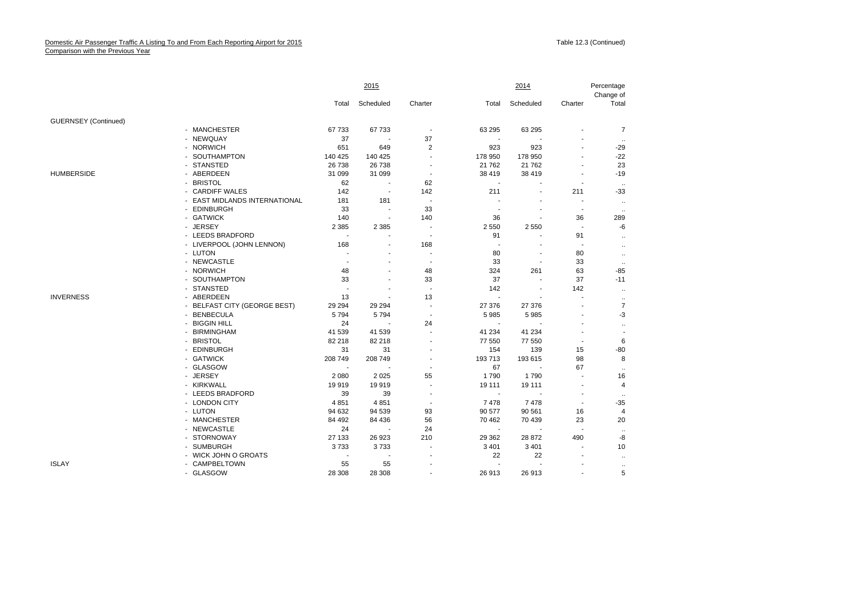|                             |                               | 2015                     |                |                          |                          | 2014           |                          |                    |
|-----------------------------|-------------------------------|--------------------------|----------------|--------------------------|--------------------------|----------------|--------------------------|--------------------|
|                             |                               | Total                    | Scheduled      | Charter                  | Total                    | Scheduled      | Charter                  | Change of<br>Total |
| <b>GUERNSEY</b> (Continued) |                               |                          |                |                          |                          |                |                          |                    |
|                             | - MANCHESTER                  | 67 733                   | 67733          | $\overline{a}$           | 63 295                   | 63 295         |                          | $\overline{7}$     |
|                             | - NEWQUAY                     | 37                       |                | 37                       |                          |                |                          |                    |
|                             | - NORWICH                     | 651                      | 649            | $\overline{2}$           | 923                      | 923            |                          | $-29$              |
|                             | - SOUTHAMPTON                 | 140 425                  | 140 425        | ÷,                       | 178 950                  | 178 950        |                          | $-22$              |
|                             | - STANSTED                    | 26 738                   | 26 738         | $\blacksquare$           | 21 7 62                  | 21 762         |                          | 23                 |
| <b>HUMBERSIDE</b>           | - ABERDEEN                    | 31 099                   | 31 099         | $\sim$                   | 38 419                   | 38 419         | ÷,                       | $-19$              |
|                             | - BRISTOL                     | 62                       |                | 62                       |                          |                |                          |                    |
|                             | - CARDIFF WALES               | 142                      | $\overline{a}$ | 142                      | 211                      |                | 211                      | $-33$              |
|                             | - EAST MIDLANDS INTERNATIONAL | 181                      | 181            | ÷,                       |                          |                |                          | $\ddotsc$          |
|                             | - EDINBURGH                   | 33                       | $\blacksquare$ | 33                       |                          |                | $\overline{\phantom{a}}$ | $\ddotsc$          |
|                             | - GATWICK                     | 140                      |                | 140                      | 36                       |                | 36                       | 289                |
|                             | - JERSEY                      | 2 3 8 5                  | 2 3 8 5        | ÷,                       | 2 5 5 0                  | 2 5 5 0        |                          | -6                 |
|                             | - LEEDS BRADFORD              |                          |                | $\overline{\phantom{a}}$ | 91                       |                | 91                       | $\ddotsc$          |
|                             | - LIVERPOOL (JOHN LENNON)     | 168                      |                | 168                      | $\overline{\phantom{a}}$ |                | $\overline{\phantom{a}}$ | $\ddotsc$          |
|                             | - LUTON                       |                          |                | ä,                       | 80                       |                | 80                       | $\ldots$           |
|                             | - NEWCASTLE                   | $\overline{a}$           |                | $\overline{a}$           | 33                       |                | 33                       | $\ddotsc$          |
|                             | - NORWICH                     | 48                       |                | 48                       | 324                      | 261            | 63                       | $-85$              |
|                             | - SOUTHAMPTON                 | 33                       |                | 33                       | 37                       | $\blacksquare$ | 37                       | $-11$              |
|                             | - STANSTED                    |                          |                |                          | 142                      |                | 142                      | $\ddotsc$          |
| <b>INVERNESS</b>            | - ABERDEEN                    | 13                       |                | 13                       | $\overline{a}$           |                |                          | $\ldots$           |
|                             | - BELFAST CITY (GEORGE BEST)  | 29 2 94                  | 29 29 4        | $\overline{a}$           | 27 376                   | 27 376         | $\overline{a}$           | $\overline{7}$     |
|                             | - BENBECULA                   | 5794                     | 5794           | $\blacksquare$           | 5985                     | 5985           |                          | $-3$               |
|                             | <b>BIGGIN HILL</b>            | 24                       |                | 24                       |                          |                |                          | $\ldots$           |
|                             | - BIRMINGHAM                  | 41 539                   | 41 539         | ä,                       | 41 234                   | 41 234         |                          |                    |
|                             | - BRISTOL                     | 82 218                   | 82 218         | $\blacksquare$           | 77 550                   | 77 550         |                          | 6                  |
|                             | - EDINBURGH                   | 31                       | 31             |                          | 154                      | 139            | 15                       | $-80$              |
|                             | - GATWICK                     | 208 749                  | 208 749        |                          | 193713                   | 193 615        | 98                       | 8                  |
|                             | - GLASGOW                     | $\overline{\phantom{a}}$ |                | $\blacksquare$           | 67                       |                | 67                       | ٠.                 |
|                             | - JERSEY                      | 2 0 8 0                  | 2 0 2 5        | 55                       | 1790                     | 1790           |                          | 16                 |
|                             | - KIRKWALL                    | 19919                    | 19919          | $\overline{\phantom{a}}$ | 19 111                   | 19 111         | $\overline{\phantom{a}}$ | 4                  |
|                             | - LEEDS BRADFORD              | 39                       | 39             |                          |                          |                |                          |                    |
|                             | - LONDON CITY                 | 4 8 5 1                  | 4851           | $\overline{\phantom{a}}$ | 7 4 7 8                  | 7478           | $\overline{a}$           | $-35$              |
|                             | - LUTON                       | 94 632                   | 94 539         | 93                       | 90 577                   | 90 561         | 16                       | $\overline{4}$     |
|                             | - MANCHESTER                  | 84 492                   | 84 436         | 56                       | 70 462                   | 70 439         | 23                       | 20                 |
|                             | - NEWCASTLE                   | 24                       |                | 24                       |                          |                | $\overline{\phantom{a}}$ | $\ldots$           |
|                             | - STORNOWAY                   | 27 133                   | 26 923         | 210                      | 29 3 62                  | 28 872         | 490                      | -8                 |
|                             | - SUMBURGH                    | 3733                     | 3733           |                          | 3 4 0 1                  | 3 4 0 1        |                          | 10                 |
|                             | - WICK JOHN O GROATS          |                          |                |                          | 22                       | 22             |                          | $\ddotsc$          |
| <b>ISLAY</b>                | - CAMPBELTOWN                 | 55                       | 55             | ÷                        |                          |                |                          | $\cdot\cdot$       |
|                             | - GLASGOW                     | 28 308                   | 28 308         |                          | 26 913                   | 26 913         |                          | 5                  |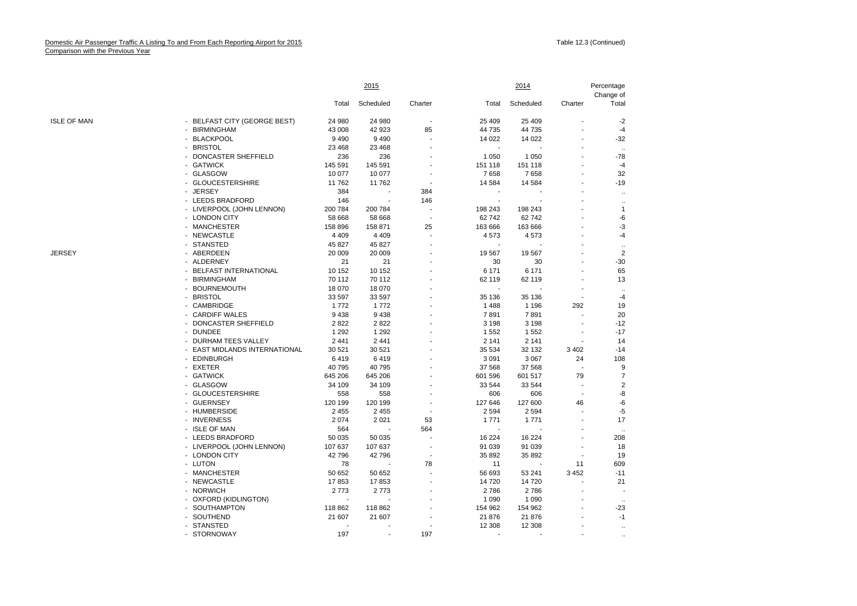|                    |                               |         | 2015                     |                          |         | 2014      |                | Percentage<br>Change of  |  |
|--------------------|-------------------------------|---------|--------------------------|--------------------------|---------|-----------|----------------|--------------------------|--|
|                    |                               | Total   | Scheduled                | Charter                  | Total   | Scheduled | Charter        | Total                    |  |
| <b>ISLE OF MAN</b> | - BELFAST CITY (GEORGE BEST)  | 24 980  | 24 980                   | $\overline{\phantom{a}}$ | 25 4 09 | 25 4 09   |                | $-2$                     |  |
|                    | - BIRMINGHAM                  | 43 008  | 42 923                   | 85                       | 44 735  | 44 735    |                | $-4$                     |  |
|                    | - BLACKPOOL                   | 9 4 9 0 | 9 4 9 0                  |                          | 14 0 22 | 14 022    |                | $-32$                    |  |
|                    | - BRISTOL                     | 23 4 68 | 23 4 68                  |                          |         |           |                | $\ldots$                 |  |
|                    | - DONCASTER SHEFFIELD         | 236     | 236                      |                          | 1 0 5 0 | 1 0 5 0   |                | $-78$                    |  |
|                    | - GATWICK                     | 145 591 | 145 591                  |                          | 151 118 | 151 118   |                | $-4$                     |  |
|                    | - GLASGOW                     | 10 077  | 10 077                   |                          | 7658    | 7658      |                | 32                       |  |
|                    | - GLOUCESTERSHIRE             | 11762   | 11762                    |                          | 14 5 84 | 14 584    |                | $-19$                    |  |
|                    | - JERSEY                      | 384     | $\overline{\phantom{a}}$ | 384                      | ÷       |           |                | $\ddot{\phantom{0}}$     |  |
|                    | - LEEDS BRADFORD              | 146     |                          | 146                      |         |           |                | $\ddot{\phantom{a}}$     |  |
|                    | - LIVERPOOL (JOHN LENNON)     | 200 784 | 200 784                  |                          | 198 243 | 198 243   |                | $\mathbf{1}$             |  |
|                    | - LONDON CITY                 | 58 668  | 58 668                   | J.                       | 62742   | 62742     |                | -6                       |  |
|                    | - MANCHESTER                  | 158 896 | 158 871                  | 25                       | 163 666 | 163 666   |                | $-3$                     |  |
|                    | - NEWCASTLE                   | 4 4 0 9 | 4 4 0 9                  | ä,                       | 4 5 7 3 | 4573      |                | -4                       |  |
|                    | - STANSTED                    | 45 827  | 45 827                   |                          |         |           |                | $\ddot{\phantom{0}}$     |  |
| JERSEY             | - ABERDEEN                    | 20 009  | 20 009                   |                          | 19 5 67 | 19 5 67   |                | $\overline{c}$           |  |
|                    | - ALDERNEY                    | 21      | 21                       |                          | 30      | 30        |                | $-30$                    |  |
|                    | - BELFAST INTERNATIONAL       | 10 152  | 10 152                   |                          | 6 171   | 6 1 7 1   |                | 65                       |  |
|                    | - BIRMINGHAM                  | 70 112  | 70 112                   |                          | 62 119  | 62 119    |                | 13                       |  |
|                    | - BOURNEMOUTH                 | 18 070  | 18 070                   |                          |         |           |                | $\ddot{\phantom{0}}$     |  |
|                    | - BRISTOL                     | 33 597  | 33 597                   |                          | 35 136  | 35 136    |                | $-4$                     |  |
|                    | - CAMBRIDGE                   | 1772    | 1772                     |                          | 1 4 8 8 | 1 1 9 6   | 292            | 19                       |  |
|                    | - CARDIFF WALES               | 9438    | 9438                     |                          | 7891    | 7891      |                | 20                       |  |
|                    | - DONCASTER SHEFFIELD         | 2822    | 2822                     |                          | 3 1 9 8 | 3 1 9 8   |                | $-12$                    |  |
|                    | - DUNDEE                      | 1 2 9 2 | 1 2 9 2                  |                          | 1 5 5 2 | 1 5 5 2   |                | $-17$                    |  |
|                    | - DURHAM TEES VALLEY          | 2 4 4 1 | 2 4 4 1                  |                          | 2 1 4 1 | 2 1 4 1   |                | 14                       |  |
|                    | - EAST MIDLANDS INTERNATIONAL | 30 521  | 30 521                   |                          | 35 534  | 32 132    | 3 4 0 2        | $-14$                    |  |
|                    | - EDINBURGH                   | 6419    | 6419                     |                          | 3 0 9 1 | 3 0 6 7   | 24             | 108                      |  |
|                    | - EXETER                      | 40 795  | 40795                    |                          | 37 568  | 37 568    |                | 9                        |  |
|                    | - GATWICK                     | 645 206 | 645 206                  |                          | 601 596 | 601 517   | 79             | $\overline{7}$           |  |
|                    | - GLASGOW                     | 34 109  | 34 109                   |                          | 33 544  | 33 544    |                | $\overline{\mathbf{c}}$  |  |
|                    | - GLOUCESTERSHIRE             | 558     | 558                      |                          | 606     | 606       | $\blacksquare$ | -8                       |  |
|                    | - GUERNSEY                    | 120 199 | 120 199                  |                          | 127 646 | 127 600   | 46             | -6                       |  |
|                    | - HUMBERSIDE                  | 2 4 5 5 | 2 4 5 5                  |                          | 2 5 9 4 | 2 5 9 4   |                | -5                       |  |
|                    | - INVERNESS                   | 2 0 7 4 | 2 0 2 1                  | 53                       | 1 7 7 1 | 1 7 7 1   |                | 17                       |  |
|                    | - ISLE OF MAN                 | 564     |                          | 564                      |         |           |                | $\ddot{\phantom{0}}$     |  |
|                    | - LEEDS BRADFORD              | 50 035  | 50 035                   | Ĭ.                       | 16 224  | 16 224    |                | 208                      |  |
|                    | - LIVERPOOL (JOHN LENNON)     | 107 637 | 107 637                  |                          | 91 039  | 91 039    |                | 18                       |  |
|                    | - LONDON CITY                 | 42796   | 42796                    |                          | 35 892  | 35 892    |                | 19                       |  |
|                    | - LUTON                       | 78      |                          | 78                       | 11      |           | 11             | 609                      |  |
|                    | - MANCHESTER                  | 50 652  | 50 652                   |                          | 56 693  | 53 241    | 3 4 5 2        | $-11$                    |  |
|                    | - NEWCASTLE                   | 17853   | 17853                    |                          | 14 720  | 14 720    |                | 21                       |  |
|                    | - NORWICH                     | 2773    | 2773                     |                          | 2786    | 2786      |                | $\overline{\phantom{a}}$ |  |
|                    | - OXFORD (KIDLINGTON)         |         |                          |                          | 1 0 9 0 | 1 0 9 0   |                | $\ddotsc$                |  |
|                    | - SOUTHAMPTON                 | 118 862 | 118 862                  |                          | 154 962 | 154 962   |                | $-23$                    |  |
|                    | - SOUTHEND                    | 21 607  | 21 607                   |                          | 21 876  | 21 876    |                | $-1$                     |  |
|                    | - STANSTED                    |         |                          | ÷.                       | 12 308  | 12 308    |                | $\ddotsc$                |  |
|                    | - STORNOWAY                   | 197     |                          | 197                      |         |           |                |                          |  |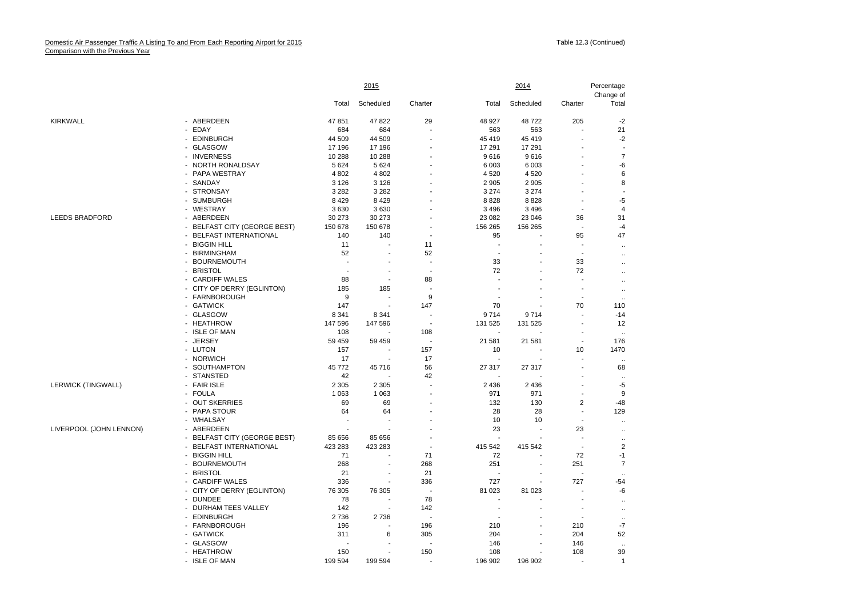|                           |                              | 2015    |                          |                          |                          | 2014      |                          |                    |
|---------------------------|------------------------------|---------|--------------------------|--------------------------|--------------------------|-----------|--------------------------|--------------------|
|                           |                              | Total   | Scheduled                | Charter                  | Total                    | Scheduled | Charter                  | Change of<br>Total |
| <b>KIRKWALL</b>           | - ABERDEEN                   | 47 851  | 47 822                   | 29                       | 48 927                   | 48722     | 205                      | $-2$               |
|                           | - EDAY                       | 684     | 684                      | $\overline{\phantom{a}}$ | 563                      | 563       | $\blacksquare$           | 21                 |
|                           | - EDINBURGH                  | 44 509  | 44 509                   | $\overline{a}$           | 45 419                   | 45 419    |                          | $-2$               |
|                           | - GLASGOW                    | 17 196  | 17 196                   | $\overline{a}$           | 17 291                   | 17 291    |                          |                    |
|                           | - INVERNESS                  | 10 288  | 10 288                   |                          | 9616                     | 9616      |                          | $\overline{7}$     |
|                           | - NORTH RONALDSAY            | 5 6 2 4 | 5 6 2 4                  | $\overline{a}$           | 6 0 03                   | 6 0 0 3   |                          | -6                 |
|                           | - PAPA WESTRAY               | 4 8 0 2 | 4 8 0 2                  | $\overline{\phantom{a}}$ | 4 5 20                   | 4 5 20    |                          | 6                  |
|                           | - SANDAY                     | 3 1 2 6 | 3 1 2 6                  |                          | 2 9 0 5                  | 2 9 0 5   |                          | 8                  |
|                           | - STRONSAY                   | 3 2 8 2 | 3 2 8 2                  |                          | 3 2 7 4                  | 3 2 7 4   |                          |                    |
|                           | - SUMBURGH                   | 8 4 2 9 | 8429                     |                          | 8828                     | 8828      | $\overline{a}$           | $-5$               |
|                           | - WESTRAY                    | 3630    | 3630                     |                          | 3 4 9 6                  | 3 4 9 6   |                          | $\overline{4}$     |
| <b>LEEDS BRADFORD</b>     | - ABERDEEN                   | 30 273  | 30 273                   |                          | 23 082                   | 23 046    | 36                       | 31                 |
|                           | - BELFAST CITY (GEORGE BEST) | 150 678 | 150 678                  |                          | 156 265                  | 156 265   | $\blacksquare$           | $-4$               |
|                           | - BELFAST INTERNATIONAL      | 140     | 140                      | $\overline{a}$           | 95                       |           | 95                       | 47                 |
|                           | - BIGGIN HILL                | 11      |                          | 11                       | $\overline{a}$           |           |                          |                    |
|                           |                              |         |                          | 52                       |                          |           |                          | $\ddotsc$          |
|                           | - BIRMINGHAM                 | 52      |                          |                          |                          |           |                          | $\ddotsc$          |
|                           | - BOURNEMOUTH                | ÷       |                          | $\overline{\phantom{a}}$ | 33                       |           | 33                       | $\ddotsc$          |
|                           | - BRISTOL                    |         |                          | $\overline{\phantom{a}}$ | 72                       |           | 72                       |                    |
|                           | - CARDIFF WALES              | 88      | $\blacksquare$           | 88                       |                          |           |                          | $\ddotsc$          |
|                           | - CITY OF DERRY (EGLINTON)   | 185     | 185                      | $\overline{\phantom{a}}$ |                          |           | ÷.                       | $\ldots$           |
|                           | - FARNBOROUGH                | 9       | $\sim$                   | 9                        |                          |           | $\overline{\phantom{a}}$ |                    |
|                           | - GATWICK                    | 147     |                          | 147                      | 70                       |           | 70                       | 110                |
|                           | - GLASGOW                    | 8 3 4 1 | 8 3 4 1                  |                          | 9714                     | 9714      |                          | $-14$              |
|                           | - HEATHROW                   | 147 596 | 147 596                  | $\overline{\phantom{a}}$ | 131 525                  | 131 525   | $\overline{\phantom{a}}$ | 12                 |
|                           | - ISLE OF MAN                | 108     |                          | 108                      |                          |           |                          |                    |
|                           | - JERSEY                     | 59 459  | 59 459                   | $\overline{\phantom{a}}$ | 21 581                   | 21 581    | $\overline{\phantom{a}}$ | 176                |
|                           | - LUTON                      | 157     |                          | 157                      | 10                       |           | 10                       | 1470               |
|                           | - NORWICH                    | 17      | $\overline{\phantom{a}}$ | 17                       | $\overline{\phantom{a}}$ |           |                          |                    |
|                           | - SOUTHAMPTON                | 45 772  | 45716                    | 56                       | 27 317                   | 27 317    |                          | 68                 |
|                           | - STANSTED                   | 42      |                          | 42                       |                          |           |                          | $\ddotsc$          |
| <b>LERWICK (TINGWALL)</b> | - FAIR ISLE                  | 2 3 0 5 | 2 3 0 5                  | $\overline{a}$           | 2 4 3 6                  | 2 4 3 6   |                          | -5                 |
|                           | - FOULA                      | 1 0 6 3 | 1 0 6 3                  | ÷,                       | 971                      | 971       | $\overline{\phantom{a}}$ | 9                  |
|                           | - OUT SKERRIES               | 69      | 69                       | $\overline{a}$           | 132                      | 130       | $\overline{2}$           | $-48$              |
|                           | - PAPA STOUR                 | 64      | 64                       |                          | 28                       | 28        |                          | 129                |
|                           | - WHALSAY                    |         | $\overline{\phantom{a}}$ |                          | 10                       | 10        | $\overline{\phantom{a}}$ | $\ddotsc$          |
| LIVERPOOL (JOHN LENNON)   | - ABERDEEN                   |         |                          |                          | 23                       | ÷,        | 23                       |                    |
|                           | - BELFAST CITY (GEORGE BEST) | 85 656  | 85 656                   |                          | $\overline{a}$           |           |                          | $\ddotsc$          |
|                           | - BELFAST INTERNATIONAL      | 423 283 | 423 283                  | $\overline{\phantom{a}}$ | 415 542                  | 415 542   | $\overline{\phantom{a}}$ | $\overline{2}$     |
|                           | <b>BIGGIN HILL</b>           | 71      | $\overline{a}$           | 71                       | 72                       |           | 72                       | $-1$               |
|                           | <b>BOURNEMOUTH</b><br>$\sim$ | 268     |                          | 268                      | 251                      |           | 251                      | $\overline{7}$     |
|                           | - BRISTOL                    | 21      | $\overline{a}$           | 21                       |                          |           |                          |                    |
|                           | - CARDIFF WALES              | 336     | $\overline{\phantom{a}}$ | 336                      | 727                      |           | 727                      | $-54$              |
|                           | - CITY OF DERRY (EGLINTON)   | 76 305  | 76 30 5                  | $\overline{\phantom{a}}$ | 81 023                   | 81 023    |                          | -6                 |
|                           | - DUNDEE                     | 78      |                          | 78                       |                          |           |                          |                    |
|                           | - DURHAM TEES VALLEY         | 142     |                          | 142                      |                          |           |                          | $\ddotsc$          |
|                           | - EDINBURGH                  | 2736    | 2736                     | $\overline{\phantom{a}}$ |                          |           |                          | $\ldots$           |
|                           | - FARNBOROUGH                | 196     |                          | 196                      | 210                      |           | 210                      | $\ddotsc$<br>$-7$  |
|                           |                              |         |                          |                          |                          |           |                          |                    |
|                           | - GATWICK                    | 311     | 6                        | 305                      | 204                      |           | 204                      | 52                 |
|                           | - GLASGOW                    |         |                          |                          | 146                      |           | 146                      |                    |
|                           | - HEATHROW                   | 150     |                          | 150                      | 108                      |           | 108                      | 39                 |
|                           | - ISLE OF MAN                | 199 594 | 199 594                  |                          | 196 902                  | 196 902   |                          | $\mathbf{1}$       |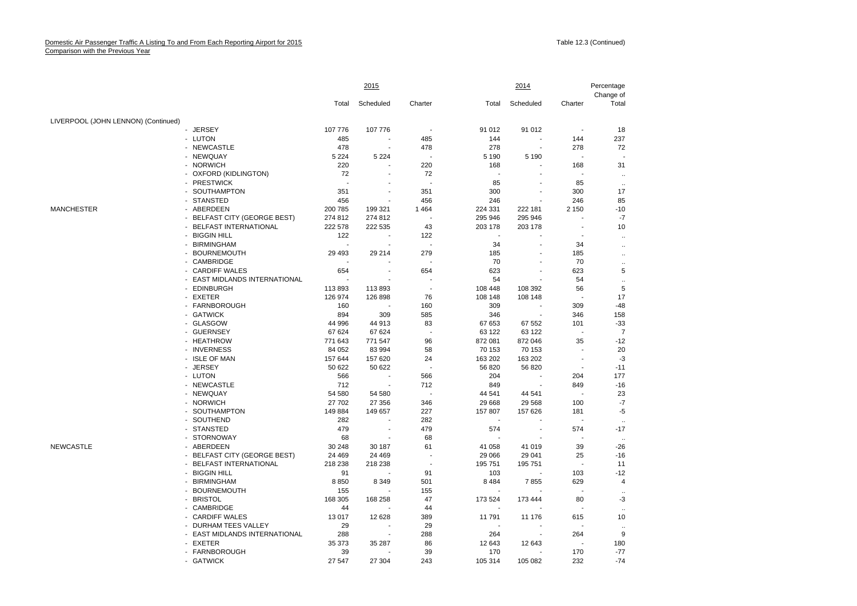|                                     |                               | 2015     |           |         |         | 2014      |         |                         |
|-------------------------------------|-------------------------------|----------|-----------|---------|---------|-----------|---------|-------------------------|
|                                     |                               | Total    | Scheduled | Charter | Total   | Scheduled | Charter | Change of<br>Total      |
| LIVERPOOL (JOHN LENNON) (Continued) |                               |          |           |         |         |           |         |                         |
|                                     | - JERSEY                      | 107 776  | 107 776   |         | 91 012  | 91 012    |         | 18                      |
|                                     | - LUTON                       | 485      |           | 485     | 144     |           | 144     | 237                     |
|                                     | - NEWCASTLE                   | 478      | ä,        | 478     | 278     | ä,        | 278     | 72                      |
|                                     | - NEWQUAY                     | 5 2 2 4  | 5 2 2 4   |         | 5 1 9 0 | 5 1 9 0   | ÷.      |                         |
|                                     | - NORWICH                     | 220      |           | 220     | 168     |           | 168     | 31                      |
|                                     | - OXFORD (KIDLINGTON)         | 72       |           | 72      |         |           |         | $\ddotsc$               |
|                                     | - PRESTWICK                   |          |           |         | 85      |           | 85      | $\ddotsc$               |
|                                     | - SOUTHAMPTON                 | 351      | ٠         | 351     | 300     |           | 300     | 17                      |
|                                     | - STANSTED                    | 456      |           | 456     | 246     |           | 246     | 85                      |
| MANCHESTER                          | - ABERDEEN                    | 200 785  | 199 321   | 1464    | 224 331 | 222 181   | 2 1 5 0 | $-10$                   |
|                                     | - BELFAST CITY (GEORGE BEST)  | 274 812  | 274 812   |         | 295 946 | 295 946   |         | $-7$                    |
|                                     | <b>BELFAST INTERNATIONAL</b>  | 222 578  | 222 535   | 43      | 203 178 | 203 178   |         | 10                      |
|                                     | - BIGGIN HILL                 | 122      |           | 122     |         |           |         | $\ddot{\phantom{a}}$    |
|                                     | - BIRMINGHAM                  |          |           |         | 34      |           | 34      | $\ddotsc$               |
|                                     | - BOURNEMOUTH                 | 29 4 9 3 | 29 214    | 279     | 185     |           | 185     | $\ddotsc$               |
|                                     | - CAMBRIDGE                   |          |           |         | 70      |           | 70      | $\ddot{\phantom{a}}$    |
|                                     | - CARDIFF WALES               | 654      |           | 654     | 623     |           | 623     | 5                       |
|                                     | - EAST MIDLANDS INTERNATIONAL |          |           |         | 54      |           | 54      | $\ddot{\phantom{a}}$    |
|                                     | - EDINBURGH                   | 113893   | 113893    |         | 108 448 | 108 392   | 56      | $\sqrt{5}$              |
|                                     | - EXETER                      | 126 974  | 126 898   | 76      | 108 148 | 108 148   |         | 17                      |
|                                     | - FARNBOROUGH                 | 160      |           | 160     | 309     |           | 309     | $-48$                   |
|                                     | - GATWICK                     | 894      | 309       | 585     | 346     |           | 346     | 158                     |
|                                     | - GLASGOW                     | 44 996   | 44 913    | 83      | 67 653  | 67 552    | 101     | $-33$                   |
|                                     | - GUERNSEY                    | 67 624   | 67 624    |         | 63 122  | 63 122    |         | $\overline{7}$          |
|                                     | - HEATHROW                    | 771 643  | 771 547   | 96      | 872 081 | 872 046   | 35      | $-12$                   |
|                                     | - INVERNESS                   | 84 052   | 83 994    | 58      | 70 153  | 70 153    | ÷,      | 20                      |
|                                     | - ISLE OF MAN                 | 157 644  | 157 620   | 24      | 163 202 | 163 202   |         | $-3$                    |
|                                     | - JERSEY                      | 50 622   | 50 622    |         | 56 820  | 56 820    |         | $-11$                   |
|                                     | - LUTON                       | 566      |           | 566     | 204     |           | 204     | 177                     |
|                                     | - NEWCASTLE                   | 712      |           | 712     | 849     |           | 849     | $-16$                   |
|                                     | - NEWQUAY                     | 54 580   | 54 580    |         | 44 541  | 44 541    |         | 23                      |
|                                     | - NORWICH                     | 27 702   | 27 356    | 346     | 29 668  | 29 5 68   | 100     | $-7$                    |
|                                     | - SOUTHAMPTON                 | 149 884  | 149 657   | 227     | 157 807 | 157 626   | 181     | $-5$                    |
|                                     | - SOUTHEND                    | 282      |           | 282     |         |           |         | $\ddotsc$               |
|                                     | - STANSTED                    | 479      |           | 479     | 574     |           | 574     | $-17$                   |
|                                     | - STORNOWAY                   | 68       |           | 68      |         |           |         | $\ddotsc$               |
| NEWCASTLE                           | - ABERDEEN                    | 30 248   | 30 187    | 61      | 41 058  | 41 019    | 39      | $-26$                   |
|                                     | - BELFAST CITY (GEORGE BEST)  | 24 4 69  | 24 4 69   |         | 29 066  | 29 041    | 25      | $-16$                   |
|                                     | - BELFAST INTERNATIONAL       | 218 238  | 218 238   |         | 195 751 | 195 751   |         | 11                      |
|                                     | - BIGGIN HILL                 | 91       |           | 91      | 103     |           | 103     | $-12$                   |
|                                     | - BIRMINGHAM                  | 8850     | 8 3 4 9   | 501     | 8 4 8 4 | 7855      | 629     | $\overline{\mathbf{4}}$ |
|                                     | - BOURNEMOUTH                 | 155      |           | 155     |         |           |         |                         |
|                                     | - BRISTOL                     | 168 305  | 168 258   | 47      | 173 524 | 173 444   | 80      | -3                      |
|                                     | - CAMBRIDGE                   | 44       |           | 44      |         |           |         | $\ddotsc$               |
|                                     | - CARDIFF WALES               | 13 017   | 12 628    | 389     | 11 791  | 11 176    | 615     | 10                      |
|                                     | - DURHAM TEES VALLEY          | 29       |           | 29      |         |           |         |                         |
|                                     | - EAST MIDLANDS INTERNATIONAL | 288      |           | 288     | 264     |           | 264     | 9                       |
|                                     | - EXETER                      | 35 373   | 35 287    | 86      | 12 643  | 12 643    |         | 180                     |
|                                     | - FARNBOROUGH                 | 39       |           | 39      | 170     |           | 170     | $-77$                   |
|                                     | - GATWICK                     | 27547    | 27.304    | 243     | 105 314 | 105 082   | 232     | $-74$                   |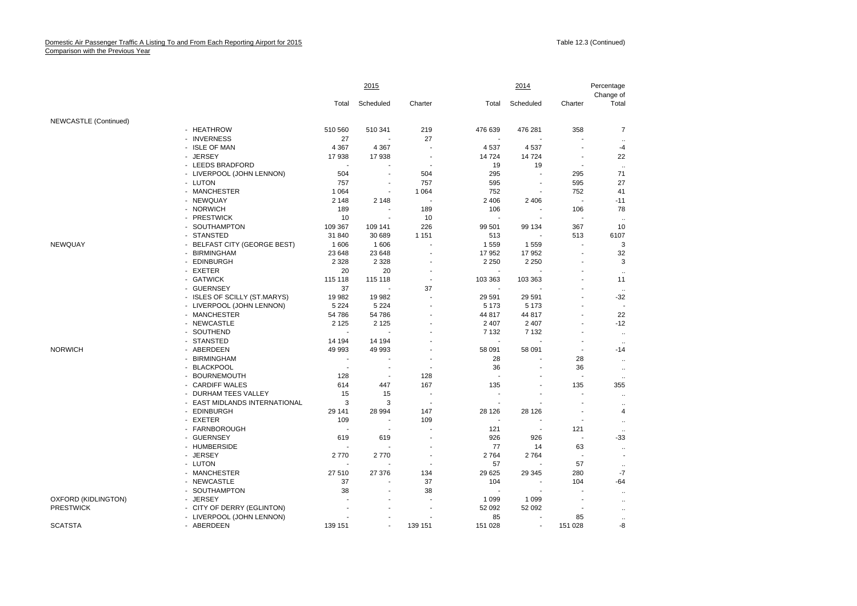|                       |                                      | <u>2015</u> |                |                          | 2014    |           |                | Percentage<br>Change of  |  |
|-----------------------|--------------------------------------|-------------|----------------|--------------------------|---------|-----------|----------------|--------------------------|--|
|                       |                                      | Total       | Scheduled      | Charter                  | Total   | Scheduled | Charter        | Total                    |  |
| NEWCASTLE (Continued) |                                      |             |                |                          |         |           |                |                          |  |
|                       | - HEATHROW                           | 510 560     | 510 341        | 219                      | 476 639 | 476 281   | 358            | $\overline{7}$           |  |
|                       | - INVERNESS                          | 27          |                | 27                       |         |           |                | $\ddotsc$                |  |
|                       | - ISLE OF MAN                        | 4 3 6 7     | 4 3 6 7        | ÷,                       | 4 5 3 7 | 4537      | ÷.             | $-4$                     |  |
|                       | - JERSEY                             | 17938       | 17938          | $\overline{\phantom{a}}$ | 14724   | 14 724    |                | 22                       |  |
|                       | - LEEDS BRADFORD                     |             |                | $\overline{\phantom{a}}$ | 19      | 19        | $\blacksquare$ | $\ddotsc$                |  |
|                       | - LIVERPOOL (JOHN LENNON)            | 504         |                | 504                      | 295     |           | 295            | 71                       |  |
|                       | - LUTON                              | 757         | ÷,             | 757                      | 595     |           | 595            | 27                       |  |
|                       | - MANCHESTER                         | 1 0 6 4     |                | 1 0 6 4                  | 752     |           | 752            | 41                       |  |
|                       | - NEWQUAY                            | 2 1 4 8     | 2 1 4 8        |                          | 2 4 0 6 | 2 4 0 6   | $\sim$         | $-11$                    |  |
|                       | - NORWICH                            | 189         |                | 189                      | 106     |           | 106            | 78                       |  |
|                       | - PRESTWICK                          | 10          | $\blacksquare$ | 10                       |         |           |                | $\ddotsc$                |  |
|                       | SOUTHAMPTON                          | 109 367     | 109 141        | 226                      | 99 501  | 99 134    | 367            | 10                       |  |
|                       | - STANSTED                           | 31 840      | 30 689         | 1 1 5 1                  | 513     |           | 513            | 6107                     |  |
| NEWQUAY               | <b>BELFAST CITY (GEORGE BEST)</b>    | 1606        | 1606           |                          | 1559    | 1559      |                | 3                        |  |
|                       | - BIRMINGHAM                         | 23 648      | 23 648         |                          | 17 952  | 17 952    | ÷.             | 32                       |  |
|                       | - EDINBURGH                          | 2 3 2 8     | 2 3 2 8        |                          | 2 2 5 0 | 2 2 5 0   |                | 3                        |  |
|                       | - EXETER                             | 20          | 20             | $\overline{\phantom{a}}$ |         |           |                | $\ddotsc$                |  |
|                       | - GATWICK                            | 115 118     | 115 118        | $\blacksquare$           | 103 363 | 103 363   |                | 11                       |  |
|                       | - GUERNSEY                           | 37          |                | 37                       |         |           |                |                          |  |
|                       | - ISLES OF SCILLY (ST.MARYS)         | 19 982      | 19 982         |                          | 29 591  | 29 591    |                | $-32$                    |  |
|                       | - LIVERPOOL (JOHN LENNON)            | 5 2 2 4     | 5 2 2 4        |                          | 5 1 7 3 | 5 1 7 3   |                |                          |  |
|                       | - MANCHESTER                         | 54 786      | 54 786         |                          | 44 817  | 44 817    |                | 22                       |  |
|                       | - NEWCASTLE                          | 2 1 2 5     | 2 1 2 5        |                          | 2 4 0 7 | 2 4 0 7   |                | $-12$                    |  |
|                       | SOUTHEND<br>$\overline{\phantom{0}}$ |             |                |                          | 7 1 3 2 | 7 1 3 2   |                | $\ddot{\phantom{a}}$     |  |
|                       | - STANSTED                           | 14 194      | 14 194         |                          |         |           |                | $\ddotsc$                |  |
| <b>NORWICH</b>        | - ABERDEEN                           | 49 993      | 49 993         |                          | 58 091  | 58 091    |                | $-14$                    |  |
|                       | <b>BIRMINGHAM</b>                    |             |                |                          | 28      |           | 28             | $\ldots$                 |  |
|                       | <b>BLACKPOOL</b>                     |             |                | $\overline{\phantom{a}}$ | 36      |           | 36             | $\ldots$                 |  |
|                       | <b>BOURNEMOUTH</b>                   | 128         | $\blacksquare$ | 128                      |         |           |                | $\ddotsc$                |  |
|                       | - CARDIFF WALES                      | 614         | 447            | 167                      | 135     |           | 135            | 355                      |  |
|                       | DURHAM TEES VALLEY                   | 15          | 15             |                          |         |           |                | $\ldots$                 |  |
|                       | - EAST MIDLANDS INTERNATIONAL        | 3           | 3              | $\overline{\phantom{a}}$ |         |           |                | $\ddotsc$                |  |
|                       | <b>EDINBURGH</b>                     | 29 141      | 28 994         | 147                      | 28 1 26 | 28 1 26   |                | 4                        |  |
|                       | - EXETER                             | 109         | ÷,             | 109                      |         |           |                | $\ddotsc$                |  |
|                       | - FARNBOROUGH                        |             |                | $\overline{\phantom{a}}$ | 121     |           | 121            |                          |  |
|                       | - GUERNSEY                           | 619         | 619            | $\blacksquare$           | 926     | 926       | $\blacksquare$ | $-33$                    |  |
|                       | - HUMBERSIDE                         |             |                |                          | 77      | 14        | 63             | $\ldots$                 |  |
|                       | - JERSEY                             | 2770        | 2770           |                          | 2 7 6 4 | 2764      |                | $\overline{\phantom{a}}$ |  |
|                       | - LUTON                              |             |                |                          | 57      |           | 57             |                          |  |
|                       | - MANCHESTER                         | 27 510      | 27 376         | 134                      | 29 625  | 29 345    | 280            | $-7$                     |  |
|                       | - NEWCASTLE                          | 37          |                | 37                       | 104     |           | 104            | $-64$                    |  |
|                       | - SOUTHAMPTON                        | 38          | $\overline{a}$ | 38                       |         |           |                | $\ddotsc$                |  |
| OXFORD (KIDLINGTON)   | - JERSEY                             |             |                |                          | 1 0 9 9 | 1 0 9 9   |                |                          |  |
| <b>PRESTWICK</b>      | - CITY OF DERRY (EGLINTON)           |             |                | $\sim$                   | 52 092  | 52 092    |                | $\ddotsc$                |  |
|                       | - LIVERPOOL (JOHN LENNON)            |             |                |                          | 85      |           | 85             | $\ldots$                 |  |
| <b>SCATSTA</b>        | - ABERDEEN                           | 139 151     |                | 139 151                  | 151 028 |           | 151 028        | -8                       |  |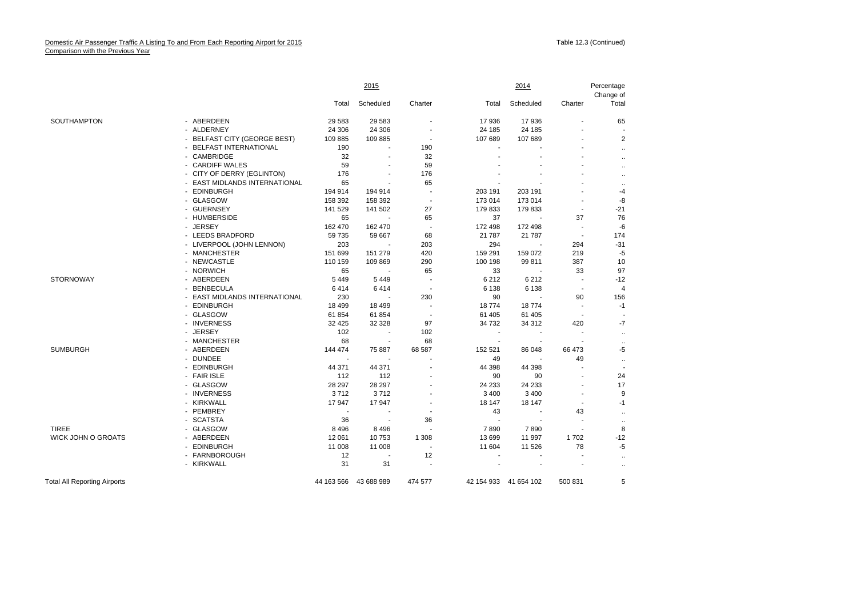|                                     |                               | 2015     |                          |                          |                          | 2014                  |                          |                      |
|-------------------------------------|-------------------------------|----------|--------------------------|--------------------------|--------------------------|-----------------------|--------------------------|----------------------|
|                                     |                               | Total    | Scheduled                | Charter                  | Total                    | Scheduled             | Charter                  | Total                |
| SOUTHAMPTON                         | - ABERDEEN                    | 29 5 83  | 29 583                   |                          | 17936                    | 17 936                | $\blacksquare$           | 65                   |
|                                     | - ALDERNEY                    | 24 30 6  | 24 30 6                  |                          | 24 185                   | 24 185                |                          |                      |
|                                     | - BELFAST CITY (GEORGE BEST)  | 109 885  | 109 885                  | $\blacksquare$           | 107 689                  | 107 689               |                          | $\overline{2}$       |
|                                     | - BELFAST INTERNATIONAL       | 190      | $\overline{\phantom{a}}$ | 190                      | $\overline{\phantom{a}}$ |                       |                          |                      |
|                                     | - CAMBRIDGE                   | 32       |                          | 32                       |                          |                       |                          | $\ddot{\phantom{0}}$ |
|                                     | - CARDIFF WALES               | 59       |                          | 59                       |                          |                       |                          | $\ddot{\phantom{0}}$ |
|                                     | - CITY OF DERRY (EGLINTON)    | 176      | $\blacksquare$           | 176                      |                          |                       |                          | $\ddot{\phantom{0}}$ |
|                                     | - EAST MIDLANDS INTERNATIONAL | 65       |                          | 65                       |                          |                       |                          | $\ddot{\phantom{0}}$ |
|                                     | - EDINBURGH                   | 194 914  | 194 914                  | ÷.                       | 203 191                  | 203 191               | ٠                        | -4                   |
|                                     | - GLASGOW                     | 158 392  | 158 392                  | $\overline{\phantom{a}}$ | 173 014                  | 173 014               |                          | -8                   |
|                                     | - GUERNSEY                    | 141 529  | 141 502                  | 27                       | 179833                   | 179 833               | $\blacksquare$           | $-21$                |
|                                     | - HUMBERSIDE                  | 65       |                          | 65                       | 37                       |                       | 37                       | 76                   |
|                                     | - JERSEY                      | 162 470  | 162 470                  | $\overline{\phantom{a}}$ | 172 498                  | 172 498               | $\sim$                   | $-6$                 |
|                                     | - LEEDS BRADFORD              | 59 735   | 59 667                   | 68                       | 21 7 8 7                 | 21 7 8 7              | $\sim$                   | 174                  |
|                                     | - LIVERPOOL (JOHN LENNON)     | 203      |                          | 203                      | 294                      |                       | 294                      | $-31$                |
|                                     | - MANCHESTER                  | 151 699  | 151 279                  | 420                      | 159 291                  | 159 072               | 219                      | $-5$                 |
|                                     | - NEWCASTLE                   | 110 159  | 109 869                  | 290                      | 100 198                  | 99 811                | 387                      | 10                   |
|                                     | - NORWICH                     | 65       | $\overline{\phantom{a}}$ | 65                       | 33                       |                       | 33                       | 97                   |
| <b>STORNOWAY</b>                    | - ABERDEEN                    | 5449     | 5 4 4 9                  |                          | 6 2 1 2                  | 6212                  | $\sim$                   | $-12$                |
|                                     | - BENBECULA                   | 6414     | 6414                     |                          | 6 1 3 8                  | 6 1 3 8               | $\blacksquare$           | 4                    |
|                                     | - EAST MIDLANDS INTERNATIONAL | 230      |                          | 230                      | 90                       |                       | 90                       | 156                  |
|                                     | - EDINBURGH                   | 18 4 9 9 | 18 499                   | $\overline{a}$           | 18774                    | 18774                 | $\blacksquare$           | $-1$                 |
|                                     | - GLASGOW                     | 61 854   | 61 854                   |                          | 61 405                   | 61 405                |                          |                      |
|                                     | - INVERNESS                   | 32 4 25  | 32 328                   | 97                       | 34 7 32                  | 34 312                | 420                      | $-7$                 |
|                                     | - JERSEY                      | 102      | $\sim$                   | 102                      | $\blacksquare$           |                       | $\blacksquare$           | $\ddot{\phantom{a}}$ |
|                                     | - MANCHESTER                  | 68       | $\overline{\phantom{a}}$ | 68                       | $\overline{a}$           |                       |                          |                      |
| <b>SUMBURGH</b>                     | - ABERDEEN                    | 144 474  | 75 887                   | 68 587                   | 152 521                  | 86 048                | 66 473                   | -5                   |
|                                     | - DUNDEE                      |          |                          |                          | 49                       |                       | 49                       | $\ddot{\phantom{0}}$ |
|                                     | - EDINBURGH                   | 44 371   | 44 371                   |                          | 44 398                   | 44 398                | ÷                        |                      |
|                                     | - FAIR ISLE                   | 112      | 112                      |                          | 90                       | 90                    | ÷                        | 24                   |
|                                     | - GLASGOW                     | 28 297   | 28 297                   |                          | 24 233                   | 24 233                |                          | 17                   |
|                                     | - INVERNESS                   | 3712     | 3712                     |                          | 3 4 0 0                  | 3 4 0 0               | $\overline{\phantom{a}}$ | 9                    |
|                                     | - KIRKWALL                    | 17947    | 17947                    |                          | 18 147                   | 18 147                | $\blacksquare$           | $-1$                 |
|                                     | - PEMBREY                     |          |                          |                          | 43                       |                       | 43                       | $\ddot{\phantom{0}}$ |
|                                     | - SCATSTA                     | 36       |                          | 36                       |                          |                       |                          | $\ddot{\phantom{0}}$ |
| <b>TIREE</b>                        | - GLASGOW                     | 8 4 9 6  | 8 4 9 6                  |                          | 7890                     | 7890                  | $\blacksquare$           | 8                    |
| <b>WICK JOHN O GROATS</b>           | - ABERDEEN                    | 12 061   | 10753                    | 1 3 0 8                  | 13 699                   | 11 997                | 1702                     | $-12$                |
|                                     | - EDINBURGH                   | 11 008   | 11 008                   | ÷.                       | 11 604                   | 11 526                | 78                       | $-5$                 |
|                                     | - FARNBOROUGH                 | 12       |                          | 12                       |                          |                       |                          | $\ddot{\phantom{0}}$ |
|                                     | - KIRKWALL                    | 31       | 31                       |                          |                          |                       |                          | $\ddot{\phantom{0}}$ |
| <b>Total All Reporting Airports</b> |                               |          | 44 163 566 43 688 989    | 474 577                  |                          | 42 154 933 41 654 102 | 500 831                  | 5                    |